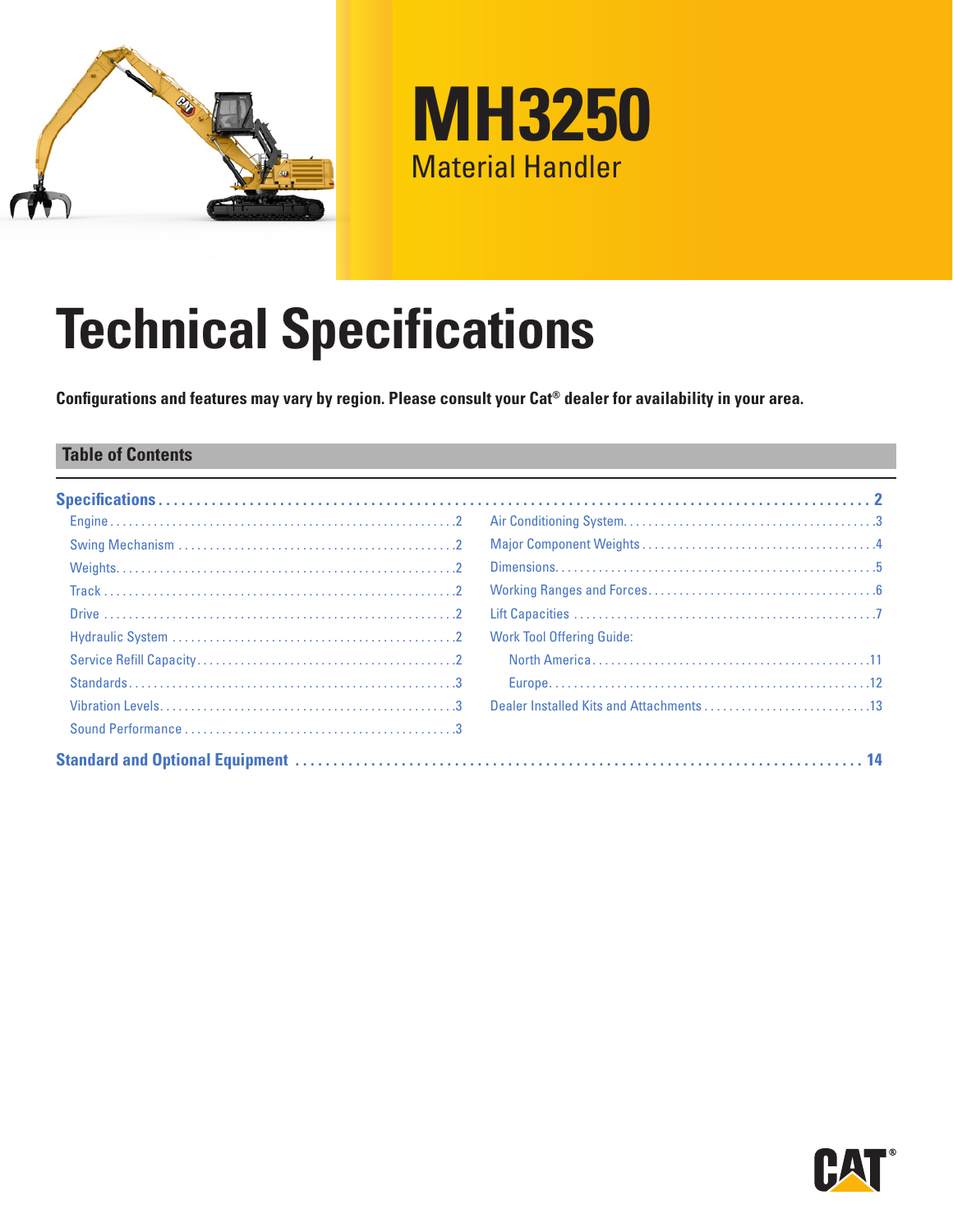



# **Technical Specifications**

**Configurations and features may vary by region. Please consult your Cat® dealer for availability in your area.**

### **Table of Contents**

| <b>Work Tool Offering Guide:</b> |
|----------------------------------|
|                                  |
|                                  |
|                                  |
|                                  |
|                                  |

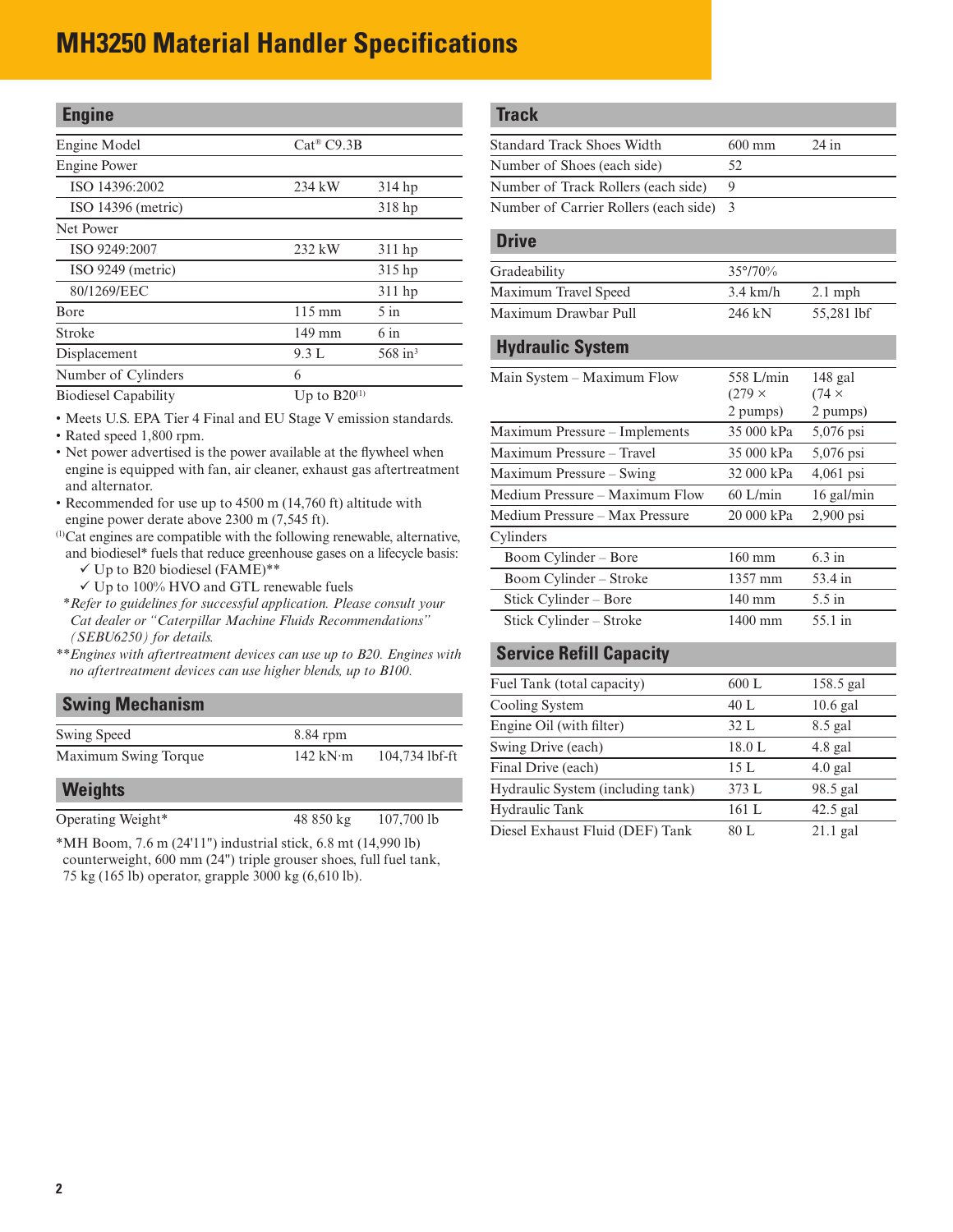<span id="page-1-0"></span>

| <b>Engine</b>               |                        |                       |
|-----------------------------|------------------------|-----------------------|
| Engine Model                | Cat <sup>®</sup> C9.3B |                       |
| <b>Engine Power</b>         |                        |                       |
| ISO 14396:2002              | 234 kW                 | $314$ hp              |
| ISO 14396 (metric)          |                        | 318 hp                |
| Net Power                   |                        |                       |
| ISO 9249:2007               | 232 kW                 | $311$ hp              |
| ISO 9249 (metric)           |                        | 315 hp                |
| 80/1269/EEC                 |                        | 311 hp                |
| <b>B</b> ore                | $115 \text{ mm}$       | $5$ in                |
| Stroke                      | $149 \text{ mm}$       | 6 in                  |
| Displacement                | 9.3 L                  | $568$ in <sup>3</sup> |
| Number of Cylinders         | 6                      |                       |
| <b>Biodiesel Capability</b> | Up to $B20^{(1)}$      |                       |

• Meets U.S. EPA Tier 4 Final and EU Stage V emission standards.

• Rated speed 1,800 rpm.

- Net power advertised is the power available at the flywheel when engine is equipped with fan, air cleaner, exhaust gas aftertreatment and alternator.
- Recommended for use up to 4500 m (14,760 ft) altitude with engine power derate above 2300 m (7,545 ft).
- (1)Cat engines are compatible with the following renewable, alternative, and biodiesel\* fuels that reduce greenhouse gases on a lifecycle basis:
	- $\checkmark$  Up to B20 biodiesel (FAME)\*\*
	- $\checkmark$  Up to 100% HVO and GTL renewable fuels
- *\*\*Refer to guidelines for successful application. Please consult your Cat dealer or "Caterpillar Machine Fluids Recommendations" (SEBU6250) for details.*
- *\*\*Engines with aftertreatment devices can use up to B20. Engines with no aftertreatment devices can use higher blends, up to B100.*

# **Swing Mechanism**

| Swing Speed          | 8.84 rpm         |                |
|----------------------|------------------|----------------|
| Maximum Swing Torque | 142 kN $\cdot$ m | 104,734 lbf-ft |

### **Weights**

| Operating Weight* | 48 850 kg | $107,700$ lb |
|-------------------|-----------|--------------|

\*MH Boom, 7.6 m (24'11") industrial stick, 6.8 mt (14,990 lb) counterweight, 600 mm (24") triple grouser shoes, full fuel tank, 75 kg (165 lb) operator, grapple 3000 kg (6,610 lb).

### **Track**

| $600 \text{ mm}$                        | $24$ in |
|-----------------------------------------|---------|
| 52.                                     |         |
|                                         |         |
| Number of Carrier Rollers (each side) 3 |         |
|                                         |         |

### **Drive**

| Gradeability         | $35^{\circ}/70\%$  |            |
|----------------------|--------------------|------------|
| Maximum Travel Speed | $3.4 \text{ km/h}$ | $2.1$ mph  |
| Maximum Drawbar Pull | 246 kN             | 55.281 lbf |

### **Hydraulic System**

| Main System - Maximum Flow     | 558 L/min<br>$(279 \times$ | $148$ gal<br>$(74 \times$ |
|--------------------------------|----------------------------|---------------------------|
|                                | 2 pumps)                   | 2 pumps)                  |
| Maximum Pressure - Implements  | 35 000 kPa                 | 5,076 psi                 |
| Maximum Pressure - Travel      | 35 000 kPa                 | 5,076 psi                 |
| Maximum Pressure – Swing       | 32 000 kPa                 | $4,061$ psi               |
| Medium Pressure - Maximum Flow | $60$ L/min                 | $16$ gal/min              |
| Medium Pressure – Max Pressure | 20000 kPa                  | $2,900$ psi               |
| Cylinders                      |                            |                           |
| Boom Cylinder - Bore           | $160 \text{ mm}$           | $6.3$ in                  |
| Boom Cylinder – Stroke         | 1357 mm                    | 53.4 in                   |
| Stick Cylinder – Bore          | $140 \text{ mm}$           | $5.5$ in                  |
| Stick Cylinder – Stroke        | 1400 mm                    | 55.1 in                   |

### **Service Refill Capacity**

| Fuel Tank (total capacity)        | 600 L  | 158.5 gal  |
|-----------------------------------|--------|------------|
| Cooling System                    | 40 L   | $10.6$ gal |
| Engine Oil (with filter)          | 32 L   | 8.5 gal    |
| Swing Drive (each)                | 18.0 L | $4.8$ gal  |
| Final Drive (each)                | 15L    | $4.0$ gal  |
| Hydraulic System (including tank) | 373 L  | 98.5 gal   |
| Hydraulic Tank                    | 161 L  | $42.5$ gal |
| Diesel Exhaust Fluid (DEF) Tank   | 80 L   | $21.1$ gal |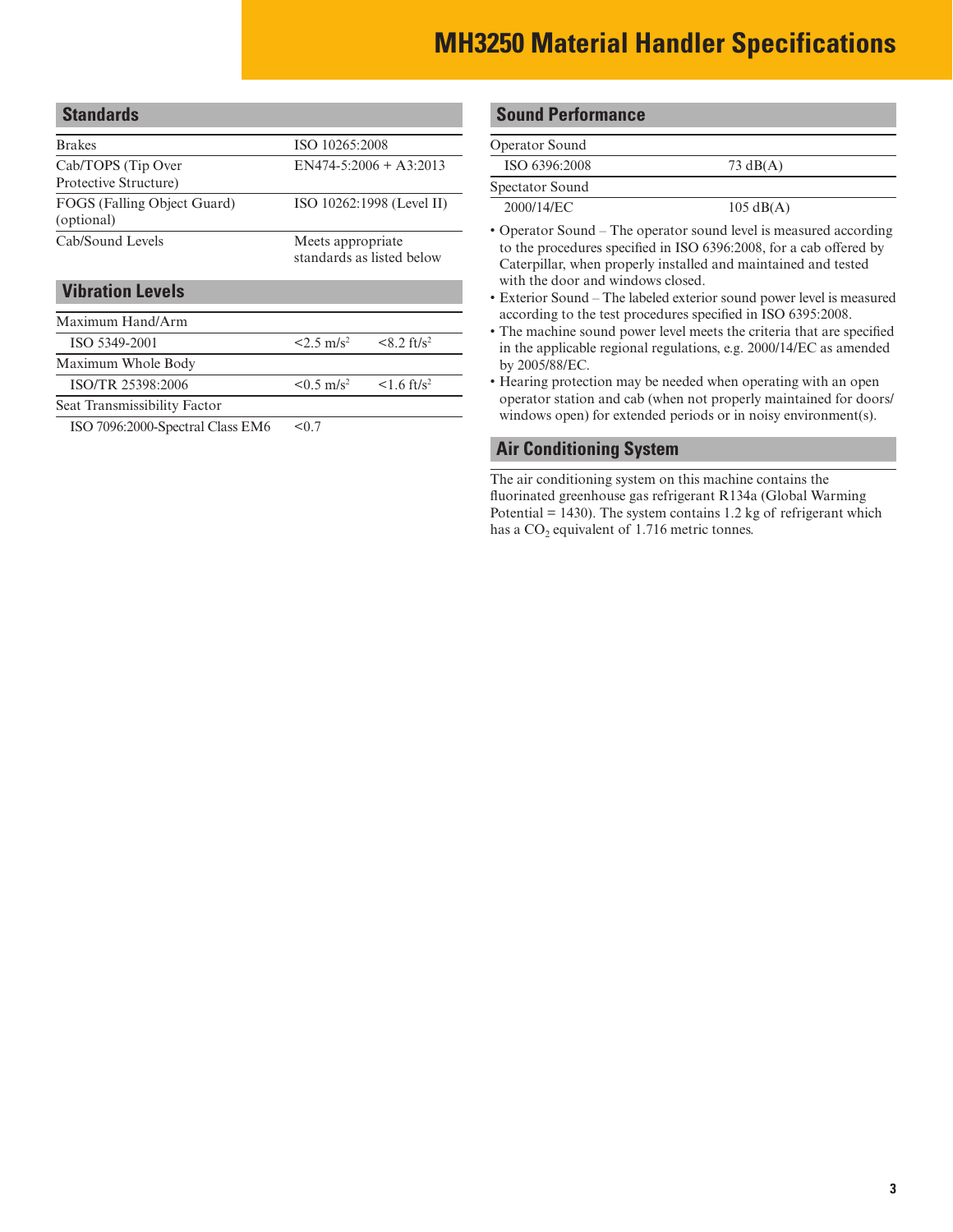<span id="page-2-0"></span>

| <b>Standards</b>                            |                                                  |  |
|---------------------------------------------|--------------------------------------------------|--|
| <b>Brakes</b>                               | ISO 10265:2008                                   |  |
| Cab/TOPS (Tip Over<br>Protective Structure) | $EN474-5:2006 + A3:2013$                         |  |
| FOGS (Falling Object Guard)<br>(optional)   | ISO 10262:1998 (Level II)                        |  |
| Cab/Sound Levels                            | Meets appropriate.<br>standards as listed below  |  |
| <b>Vibration Levels</b>                     |                                                  |  |
| Maximum Hand/Arm                            |                                                  |  |
| ISO 5349-2001                               | $< 8.2$ ft/s <sup>2</sup><br>$2.5 \text{ m/s}^2$ |  |
| Maximum Whole Body                          |                                                  |  |

ISO/TR 25398:2006  $\leq 0.5 \text{ m/s}^2$   $\leq 1.6 \text{ ft/s}^2$ 

Seat Transmissibility Factor

ISO 7096:2000-Spectral Class EM6 <0.7

#### **Sound Performance**

| $73 \text{ dB}(A)$  |  |
|---------------------|--|
|                     |  |
| $105 \text{ dB}(A)$ |  |
|                     |  |

• Operator Sound – The operator sound level is measured according to the procedures specified in ISO 6396:2008, for a cab offered by Caterpillar, when properly installed and maintained and tested with the door and windows closed.

- Exterior Sound The labeled exterior sound power level is measured according to the test procedures specified in ISO 6395:2008.
- The machine sound power level meets the criteria that are specified in the applicable regional regulations, e.g. 2000/14/EC as amended by 2005/88/EC.
- Hearing protection may be needed when operating with an open operator station and cab (when not properly maintained for doors/ windows open) for extended periods or in noisy environment(s).

#### **Air Conditioning System**

The air conditioning system on this machine contains the fluorinated greenhouse gas refrigerant R134a (Global Warming Potential  $= 1430$ ). The system contains 1.2 kg of refrigerant which has a  $CO<sub>2</sub>$  equivalent of 1.716 metric tonnes.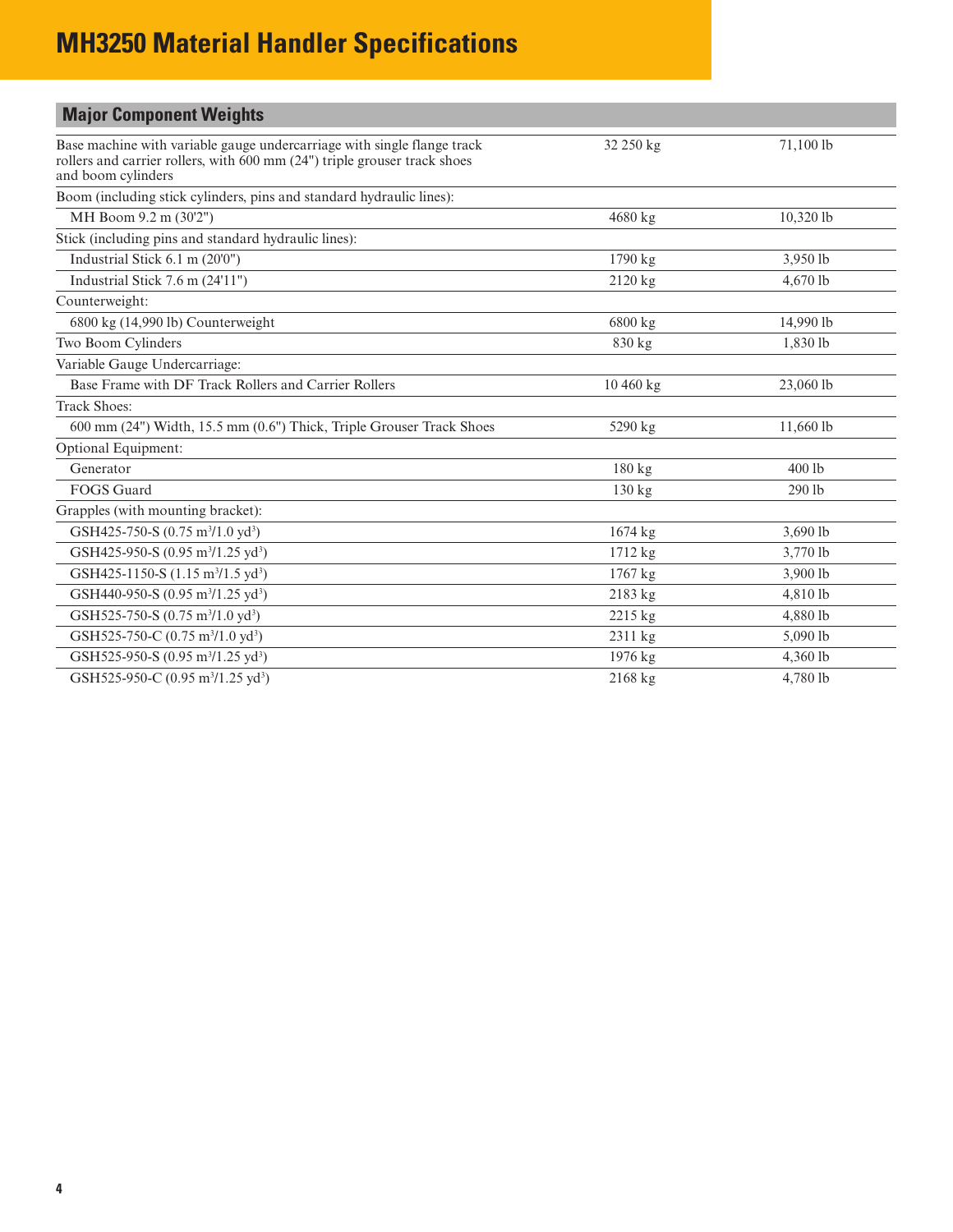<span id="page-3-0"></span>

| <b>Major Component Weights</b>                                                                                                                                             |           |           |
|----------------------------------------------------------------------------------------------------------------------------------------------------------------------------|-----------|-----------|
| Base machine with variable gauge undercarriage with single flange track<br>rollers and carrier rollers, with 600 mm (24") triple grouser track shoes<br>and boom cylinders | 32 250 kg | 71,100 lb |
| Boom (including stick cylinders, pins and standard hydraulic lines):                                                                                                       |           |           |
| MH Boom 9.2 m (30'2")                                                                                                                                                      | 4680 kg   | 10,320 lb |
| Stick (including pins and standard hydraulic lines):                                                                                                                       |           |           |
| Industrial Stick 6.1 m (20'0")                                                                                                                                             | 1790 kg   | 3,950 lb  |
| Industrial Stick 7.6 m (24'11")                                                                                                                                            | $2120$ kg | 4,670 lb  |
| Counterweight:                                                                                                                                                             |           |           |
| 6800 kg (14,990 lb) Counterweight                                                                                                                                          | 6800 kg   | 14,990 lb |
| Two Boom Cylinders                                                                                                                                                         | 830 kg    | 1,830 lb  |
| Variable Gauge Undercarriage:                                                                                                                                              |           |           |
| Base Frame with DF Track Rollers and Carrier Rollers                                                                                                                       | 10 460 kg | 23,060 lb |
| <b>Track Shoes:</b>                                                                                                                                                        |           |           |
| 600 mm (24") Width, 15.5 mm (0.6") Thick, Triple Grouser Track Shoes                                                                                                       | 5290 kg   | 11,660 lb |
| Optional Equipment:                                                                                                                                                        |           |           |
| Generator                                                                                                                                                                  | 180 kg    | $400$ lb  |
| <b>FOGS</b> Guard                                                                                                                                                          | 130 kg    | 290 lb    |
| Grapples (with mounting bracket):                                                                                                                                          |           |           |
| GSH425-750-S (0.75 m <sup>3</sup> /1.0 yd <sup>3</sup> )                                                                                                                   | $1674$ kg | 3,690 lb  |
| GSH425-950-S (0.95 m <sup>3</sup> /1.25 yd <sup>3</sup> )                                                                                                                  | 1712 kg   | 3,770 lb  |
| GSH425-1150-S (1.15 m <sup>3</sup> /1.5 yd <sup>3</sup> )                                                                                                                  | 1767 kg   | 3,900 lb  |
| GSH440-950-S (0.95 m <sup>3</sup> /1.25 yd <sup>3</sup> )                                                                                                                  | 2183 kg   | 4,810 lb  |
| GSH525-750-S (0.75 m <sup>3</sup> /1.0 yd <sup>3</sup> )                                                                                                                   | 2215 kg   | 4,880 lb  |
| GSH525-750-C (0.75 m <sup>3</sup> /1.0 yd <sup>3</sup> )                                                                                                                   | 2311 kg   | 5,090 lb  |
| GSH525-950-S (0.95 m <sup>3</sup> /1.25 yd <sup>3</sup> )                                                                                                                  | 1976 kg   | 4,360 lb  |
| GSH525-950-C (0.95 m <sup>3</sup> /1.25 yd <sup>3</sup> )                                                                                                                  | 2168 kg   | 4,780 lb  |
|                                                                                                                                                                            |           |           |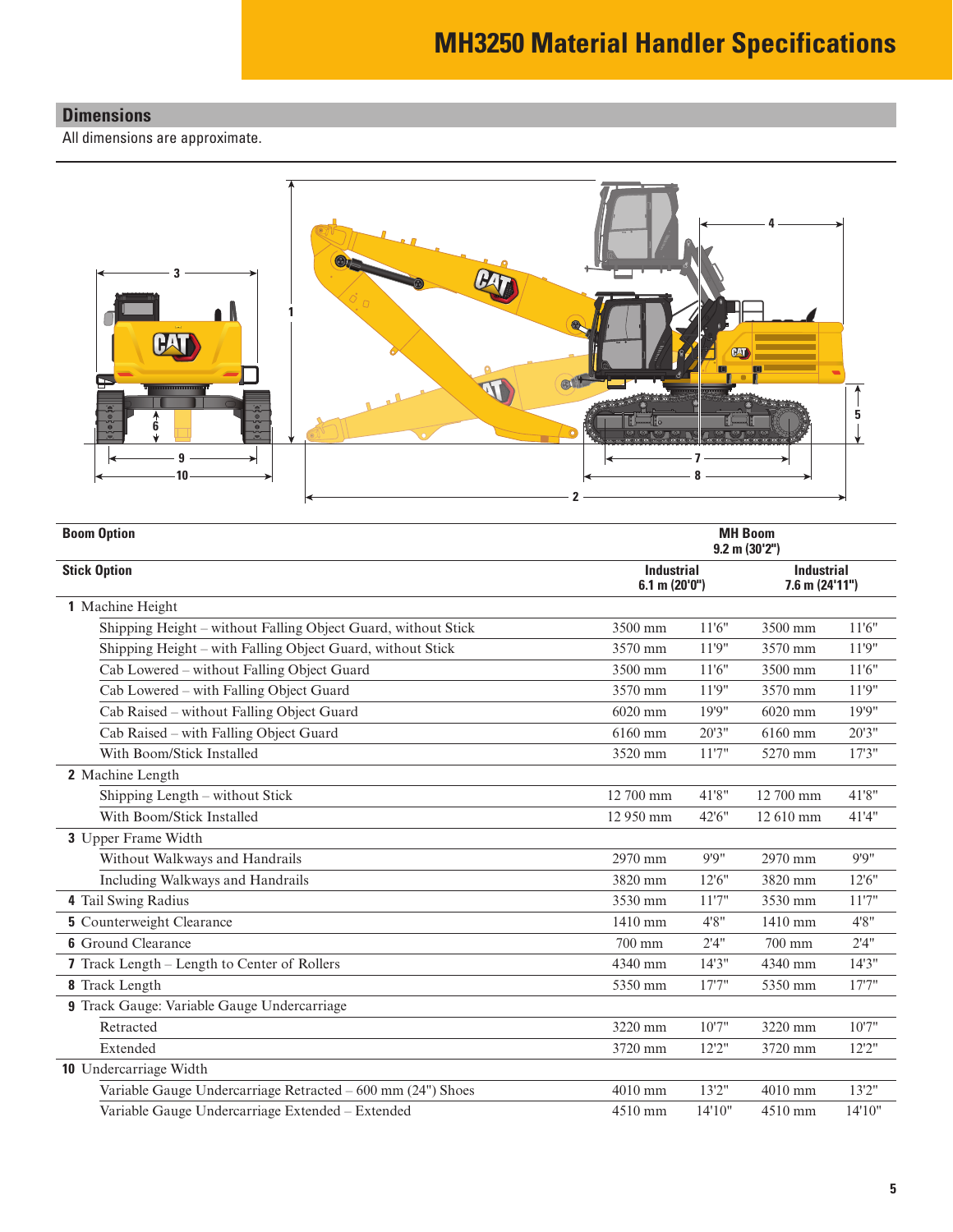### <span id="page-4-0"></span>**Dimensions**

All dimensions are approximate.



| <b>Boom Option</b>                                            | <b>MH Boom</b><br>$9.2$ m $(30'2'')$    |         |                                          |        |
|---------------------------------------------------------------|-----------------------------------------|---------|------------------------------------------|--------|
| <b>Stick Option</b>                                           | <b>Industrial</b><br>$6.1$ m $(20'0'')$ |         | <b>Industrial</b><br>$7.6$ m $(24'11'')$ |        |
| 1 Machine Height                                              |                                         |         |                                          |        |
| Shipping Height – without Falling Object Guard, without Stick | 3500 mm                                 | 11'6''  | 3500 mm                                  | 11'6'' |
| Shipping Height – with Falling Object Guard, without Stick    | 3570 mm                                 | 11'9"   | 3570 mm                                  | 11'9'' |
| Cab Lowered – without Falling Object Guard                    | 3500 mm                                 | 11'6''  | 3500 mm                                  | 11'6'' |
| Cab Lowered - with Falling Object Guard                       | 3570 mm                                 | 11'9"   | 3570 mm                                  | 11'9"  |
| Cab Raised - without Falling Object Guard                     | 6020 mm                                 | 19'9"   | 6020 mm                                  | 19'9"  |
| Cab Raised – with Falling Object Guard                        | 6160 mm                                 | 20'3''  | 6160 mm                                  | 20'3"  |
| With Boom/Stick Installed                                     | 3520 mm                                 | 11'7''  | 5270 mm                                  | 17'3'' |
| 2 Machine Length                                              |                                         |         |                                          |        |
| Shipping Length - without Stick                               | 12 700 mm                               | 41'8"   | 12 700 mm                                | 41'8"  |
| With Boom/Stick Installed                                     | 12 950 mm                               | 42'6"   | 12 610 mm                                | 41'4"  |
| 3 Upper Frame Width                                           |                                         |         |                                          |        |
| Without Walkways and Handrails                                | 2970 mm                                 | 9'9''   | 2970 mm                                  | 9'9''  |
| Including Walkways and Handrails                              | 3820 mm                                 | 12'6''  | 3820 mm                                  | 12'6"  |
| 4 Tail Swing Radius                                           | 3530 mm                                 | 11'7''  | 3530 mm                                  | 11'7'' |
| <b>5</b> Counterweight Clearance                              | 1410 mm                                 | 4'8''   | 1410 mm                                  | 4'8''  |
| <b>6</b> Ground Clearance                                     | 700 mm                                  | 2'4''   | 700 mm                                   | 2'4''  |
| 7 Track Length - Length to Center of Rollers                  | 4340 mm                                 | 14'3''  | 4340 mm                                  | 14'3'' |
| 8 Track Length                                                | 5350 mm                                 | 17'7''  | 5350 mm                                  | 17'7'' |
| 9 Track Gauge: Variable Gauge Undercarriage                   |                                         |         |                                          |        |
| Retracted                                                     | 3220 mm                                 | 10'7"   | 3220 mm                                  | 10'7"  |
| Extended                                                      | 3720 mm                                 | 12'2"   | 3720 mm                                  | 12'2'' |
| 10 Undercarriage Width                                        |                                         |         |                                          |        |
| Variable Gauge Undercarriage Retracted – 600 mm (24") Shoes   | 4010 mm                                 | 13'2"   | 4010 mm                                  | 13'2"  |
| Variable Gauge Undercarriage Extended - Extended              | 4510 mm                                 | 14'10'' | 4510 mm                                  | 14'10" |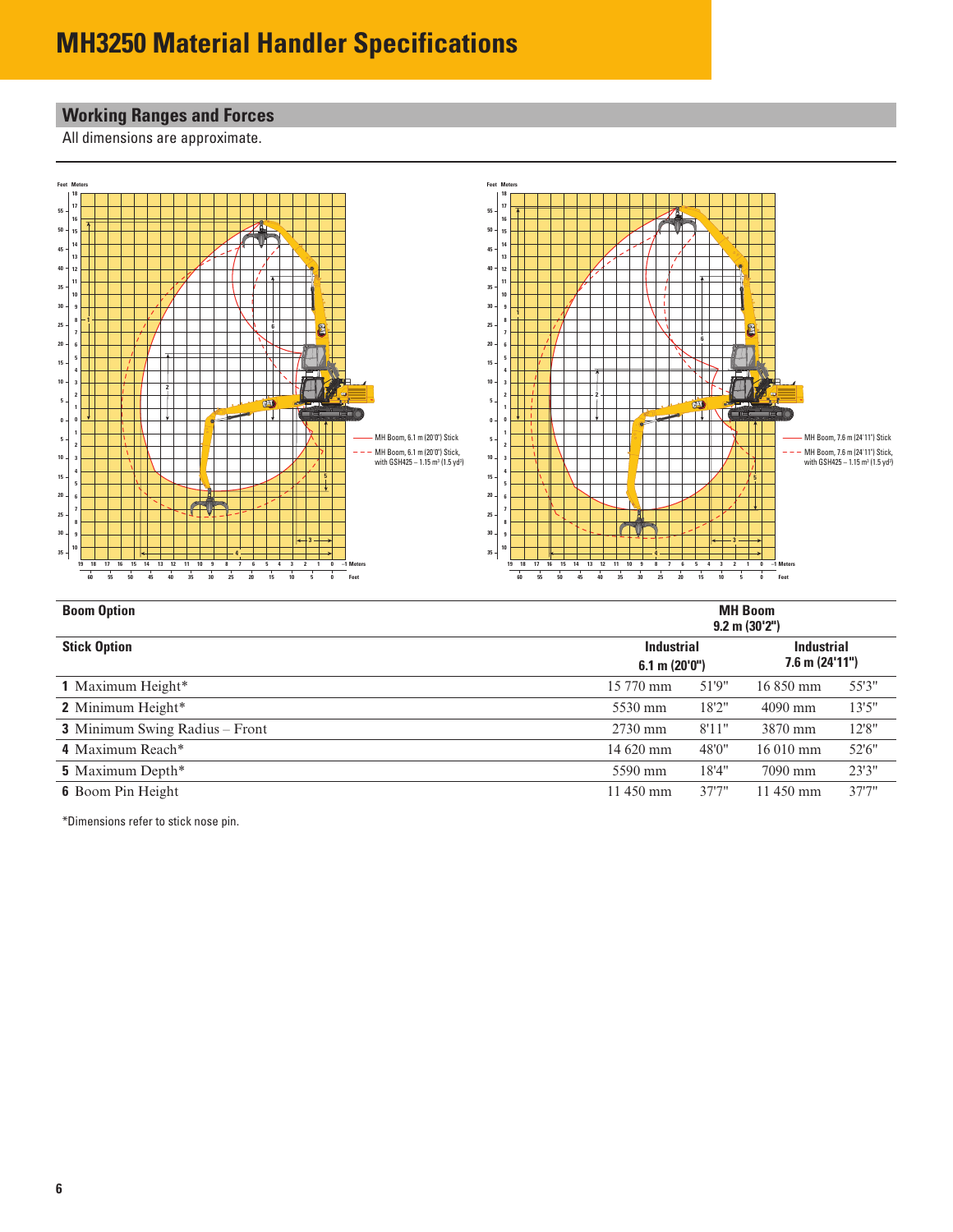# <span id="page-5-0"></span>**Working Ranges and Forces**

All dimensions are approximate.



| <b>Boom Option</b>                    | <b>MH Boom</b><br>$9.2 \text{ m} (30'2'')$    |        |                    |                                          |  |  |  |
|---------------------------------------|-----------------------------------------------|--------|--------------------|------------------------------------------|--|--|--|
| <b>Stick Option</b>                   | <b>Industrial</b><br>$6.1 \text{ m} (20'0'')$ |        |                    | <b>Industrial</b><br>$7.6$ m $(24'11'')$ |  |  |  |
| 1 Maximum Height*                     | 15 770 mm                                     | 51'9"  | $16850 \text{ mm}$ | 55'3"                                    |  |  |  |
| 2 Minimum Height*                     | 5530 mm                                       | 18'2"  | $4090$ mm          | 13'5''                                   |  |  |  |
| <b>3</b> Minimum Swing Radius – Front | $2730$ mm                                     | 8'11"  | 3870 mm            | 12'8''                                   |  |  |  |
| 4 Maximum Reach*                      | 14 620 mm                                     | 48'0"  | $16010 \text{ mm}$ | 52'6"                                    |  |  |  |
| <b>5</b> Maximum Depth <sup>*</sup>   | 5590 mm                                       | 18'4"  | 7090 mm            | 23'3"                                    |  |  |  |
| <b>6</b> Boom Pin Height              | 11 450 mm                                     | 37'7'' | 11 450 mm          | 37'7''                                   |  |  |  |

\*Dimensions refer to stick nose pin.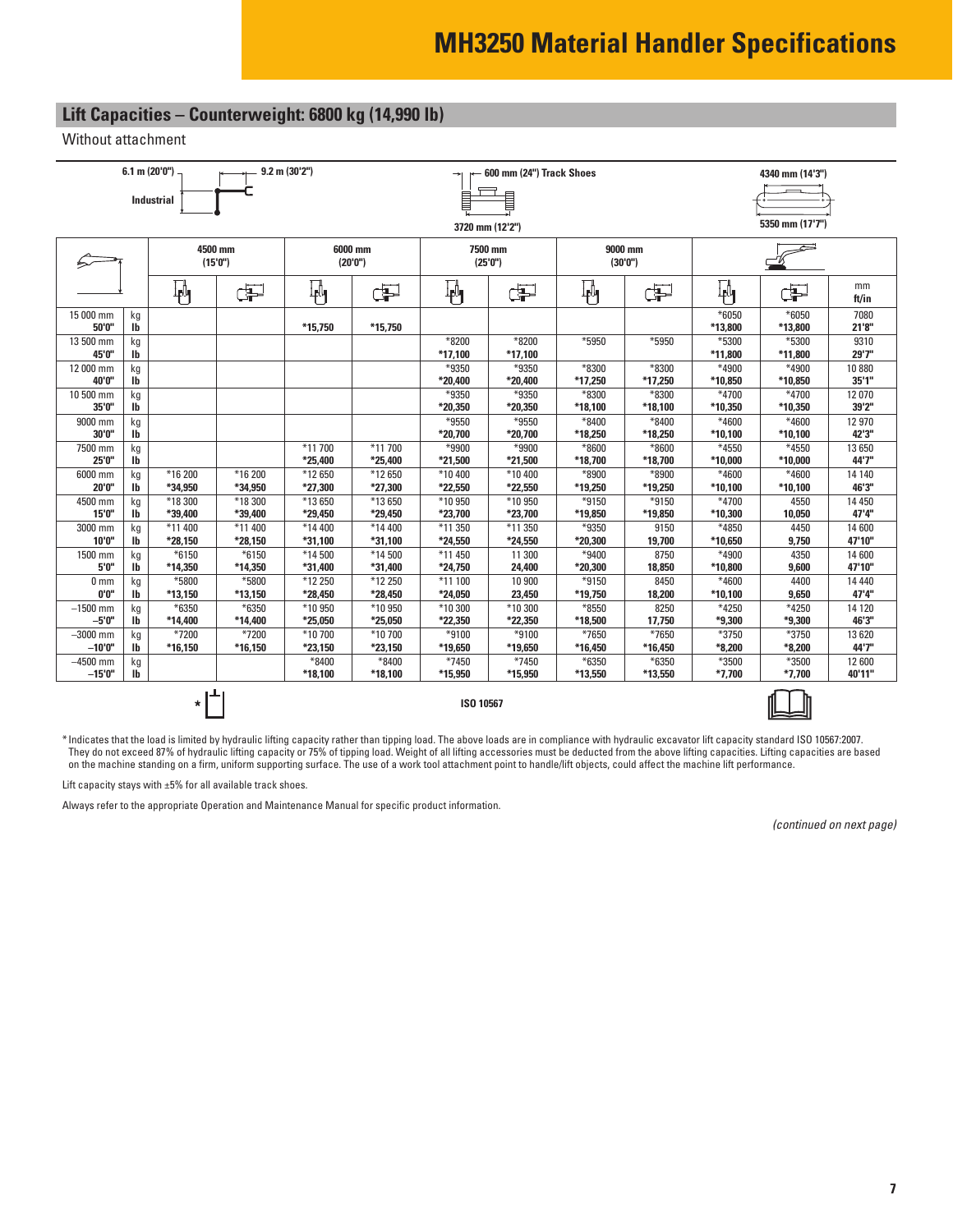# <span id="page-6-0"></span>**Lift Capacities – Counterweight: 6800 kg (14,990 lb)**

Without attachment

|                         |          | 6.1 m (20'0'')     |                    | $9.2$ m $(30'2'')$ |                    |                    | 600 mm (24") Track Shoes |                  |                    |                           | 4340 mm (14'3")   |                  |  |  |
|-------------------------|----------|--------------------|--------------------|--------------------|--------------------|--------------------|--------------------------|------------------|--------------------|---------------------------|-------------------|------------------|--|--|
|                         |          | Industrial         |                    | ₿                  |                    |                    |                          |                  |                    |                           |                   |                  |  |  |
|                         |          |                    |                    |                    |                    |                    |                          |                  |                    |                           |                   |                  |  |  |
|                         |          |                    |                    |                    |                    | 3720 mm (12'2")    |                          |                  |                    |                           | 5350 mm (17'7")   |                  |  |  |
|                         |          |                    | 4500 mm            |                    | 6000 mm            |                    | 7500 mm                  | 9000 mm          |                    |                           |                   |                  |  |  |
|                         |          |                    | (15'0'')           |                    | (20'0'')           |                    | (25'0'')                 |                  | (30'0'')           |                           |                   |                  |  |  |
|                         |          | ∦կ                 | Œ                  | 判                  | Œ                  | $\mathbb{F}_1$     | ď                        | ∦∦               | æ                  | $\mathbf{F}_{\mathbf{J}}$ | Þ                 | mm<br>ft/in      |  |  |
| 15 000 mm               | kg       |                    |                    |                    |                    |                    |                          |                  |                    | $*6050$                   | $*6050$           | 7080             |  |  |
| 50'0"<br>13 500 mm      | lb<br>kg |                    |                    | *15,750            | *15,750            | *8200              | *8200                    | *5950            | *5950              | *13,800<br>*5300          | *13,800<br>*5300  | 21'8"<br>9310    |  |  |
| 45'0"                   | lb       |                    |                    |                    |                    | $*17,100$          | *17,100                  |                  |                    | *11,800                   | *11,800           | 29'7"            |  |  |
| 12 000 mm               | kg       |                    |                    |                    |                    | *9350              | *9350                    | *8300            | *8300              | *4900                     | *4900             | 10 880           |  |  |
| 40'0"                   | Ib       |                    |                    |                    |                    | *20,400            | *20,400                  | *17,250          | *17,250            | *10,850                   | *10,850           | 35'1''           |  |  |
| 10 500 mm<br>35'0"      | kg<br>lb |                    |                    |                    |                    | *9350<br>*20,350   | *9350<br>*20,350         | *8300            | *8300              | *4700                     | *4700<br>*10,350  | 12 070<br>39'2"  |  |  |
| 9000 mm                 | kg       |                    |                    |                    |                    | *9550              | *9550                    | *18,100<br>*8400 | *18,100<br>$*8400$ | *10,350<br>*4600          | *4600             | 12 970           |  |  |
| 30'0"                   | lb       |                    |                    |                    |                    | *20,700            | *20,700                  | *18,250          | *18,250            | *10,100                   | *10,100           | 42'3"            |  |  |
| 7500 mm                 | kg       |                    |                    | *11 700            | *11700             | *9900              | *9900                    | *8600            | *8600              | *4550                     | *4550             | 13 650           |  |  |
| 25'0"                   | Ib       |                    |                    | *25,400            | *25,400            | *21,500            | *21,500                  | *18,700          | *18,700            | *10,000                   | $*10,000$         | 44'7"            |  |  |
| 6000 mm                 | kg       | *16 200            | *16 200            | *12 650            | *12 650            | *10 400            | *10 400                  | *8900            | *8900              | *4600                     | *4600             | 14 140<br>46'3"  |  |  |
| 20'0"<br>4500 mm        | lb<br>kg | *34,950<br>*18 300 | *34,950<br>*18 300 | *27,300<br>*13 650 | *27,300<br>*13 650 | *22,550<br>*10 950 | *22,550<br>*10 950       | *19,250<br>*9150 | *19,250<br>*9150   | *10,100<br>*4700          | *10,100<br>4550   | 14 450           |  |  |
| 15'0"                   | lb       | *39,400            | *39,400            | *29,450            | *29,450            | *23,700            | *23,700                  | *19,850          | *19,850            | *10,300                   | 10,050            | 47'4"            |  |  |
| 3000 mm                 | kg       | *11 400            | *11 400            | *14 400            | *14 400            | *11 350            | *11 350                  | *9350            | 9150               | *4850                     | 4450              | 14 600           |  |  |
| 10'0"                   | lb       | *28,150            | *28,150            | *31,100            | *31,100            | *24,550            | *24,550                  | *20,300          | 19,700             | *10,650                   | 9,750             | 47'10"           |  |  |
| 1500 mm<br>5'0"         | kg<br>lb | $*6150$<br>*14,350 | $*6150$<br>*14,350 | *14 500<br>*31,400 | *14500<br>*31,400  | *11 450<br>*24,750 | 11 300<br>24,400         | *9400<br>*20,300 | 8750<br>18,850     | *4900<br>*10,800          | 4350<br>9,600     | 14 600<br>47'10" |  |  |
| 0 <sub>mm</sub>         | kg       | *5800              | *5800              | *12 250            | *12 250            | $*11100$           | 10 900                   | *9150            | 8450               | *4600                     | 4400              | 14 4 4 0         |  |  |
| 0'0''                   | lb       | *13,150            | *13,150            | *28,450            | *28,450            | *24,050            | 23,450                   | *19,750          | 18,200             | *10,100                   | 9,650             | 47'4"            |  |  |
| $-1500$ mm              | kg       | $*6350$            | *6350              | *10 950            | *10 950            | *10 300            | *10 300                  | *8550            | 8250               | *4250                     | $*4250$           | 14 120           |  |  |
| $-5'0''$                | lb       | *14,400            | *14,400            | *25,050            | *25,050            | *22,350            | *22,350                  | *18,500          | 17,750             | *9,300                    | *9,300            | 46'3"            |  |  |
| $-3000$ mm              | kg       | *7200              | *7200              | *10 700            | *10 700            | *9100              | *9100                    | *7650            | *7650              | *3750                     | *3750             | 13 6 20          |  |  |
| $-10'0''$<br>$-4500$ mm | lb       | $*16,150$          | *16,150            | *23,150<br>$*8400$ | *23,150<br>$*8400$ | *19,650<br>*7450   | *19,650<br>*7450         | *16,450<br>*6350 | *16,450<br>*6350   | $*8,200$<br>$*3500$       | $*8,200$<br>*3500 | 44'7"<br>12 600  |  |  |
| $-15'0''$               | kg<br>lb |                    |                    | *18,100            | *18,100            | *15,950            | *15,950                  | *13,550          | *13,550            | $*7,700$                  | $*7,700$          | 40'11"           |  |  |
|                         |          |                    |                    |                    |                    |                    |                          |                  |                    |                           |                   |                  |  |  |
|                         |          | $\ast$             |                    |                    |                    | ISO 10567          |                          |                  |                    |                           |                   |                  |  |  |



\* Indicates that the load is limited by hydraulic lifting capacity rather than tipping load. The above loads are in compliance with hydraulic excavator lift capacity standard ISO 10567:2007. They do not exceed 87% of hydraulic lifting capacity or 75% of tipping load. Weight of all lifting accessories must be deducted from the above lifting capacities. Lifting capacities are based on the machine standing on a firm, uniform supporting surface. The use of a work tool attachment point to handle/lift objects, could affect the machine lift performance.

Lift capacity stays with ±5% for all available track shoes.

Always refer to the appropriate Operation and Maintenance Manual for specific product information.

*(continued on next page)*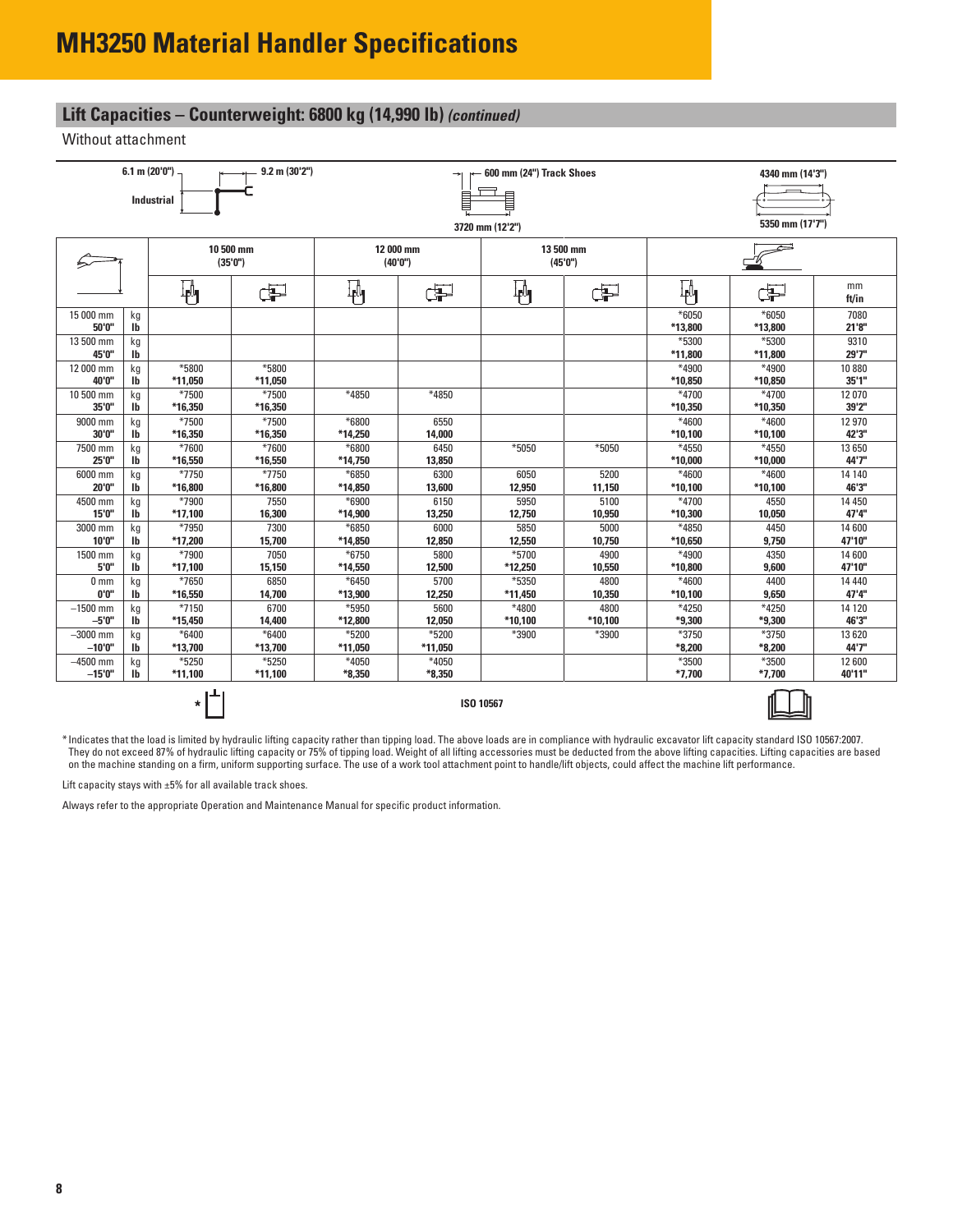### **Lift Capacities – Counterweight: 6800 kg (14,990 lb)** *(continued)*

Without attachment

| ₿<br><b>Industrial</b><br>3720 mm (12'2")<br>10 500 mm<br>12 000 mm<br>13 500 mm<br>(35'0'')<br>(40'0")<br>(45'0'')<br>$\mathbb{F}_{\mathbf{0}}$<br>$\mathbb{F}$<br>$\overline{\mathbb{F}}^4$<br>₩<br>F<br>F<br>ď<br>*6050<br>15 000 mm<br>kg<br>50'0"<br>lb<br>*13,800<br>*5300<br>13 500 mm<br>kg<br>45'0"<br>*11,800<br>lb<br>*5800<br>*4900<br>12 000 mm<br>*5800<br>kg<br>40'0"<br>*11.050<br>$*11,050$<br>*10,850<br>lb<br>*7500<br>*7500<br>*4850<br>10 500 mm<br>$*4850$<br>$*4700$<br>kg<br>35'0"<br>*16.350<br>*16,350<br>*10.350<br>lb<br>*7500<br>*7500<br>9000 mm<br>*6800<br>6550<br>*4600<br>kg<br>30'0"<br>*16,350<br>lb<br>*16,350<br>*14,250<br>14,000<br>$*10,100$<br>*7600<br>*7600<br>*6800<br>6450<br>*5050<br>*5050<br>*4550<br>7500 mm<br>kg<br>25'0"<br>*16,550<br>*16,550<br>*14,750<br>13,850<br>$*10,000$<br>lb<br>*7750<br>*7750<br>*6850<br>*4600<br>6000 mm<br>6300<br>6050<br>5200<br>kg | 5350 mm (17'7")  |                 |
|--------------------------------------------------------------------------------------------------------------------------------------------------------------------------------------------------------------------------------------------------------------------------------------------------------------------------------------------------------------------------------------------------------------------------------------------------------------------------------------------------------------------------------------------------------------------------------------------------------------------------------------------------------------------------------------------------------------------------------------------------------------------------------------------------------------------------------------------------------------------------------------------------------------------------|------------------|-----------------|
|                                                                                                                                                                                                                                                                                                                                                                                                                                                                                                                                                                                                                                                                                                                                                                                                                                                                                                                          |                  |                 |
|                                                                                                                                                                                                                                                                                                                                                                                                                                                                                                                                                                                                                                                                                                                                                                                                                                                                                                                          |                  |                 |
|                                                                                                                                                                                                                                                                                                                                                                                                                                                                                                                                                                                                                                                                                                                                                                                                                                                                                                                          |                  |                 |
|                                                                                                                                                                                                                                                                                                                                                                                                                                                                                                                                                                                                                                                                                                                                                                                                                                                                                                                          |                  |                 |
|                                                                                                                                                                                                                                                                                                                                                                                                                                                                                                                                                                                                                                                                                                                                                                                                                                                                                                                          |                  |                 |
|                                                                                                                                                                                                                                                                                                                                                                                                                                                                                                                                                                                                                                                                                                                                                                                                                                                                                                                          |                  | mm              |
|                                                                                                                                                                                                                                                                                                                                                                                                                                                                                                                                                                                                                                                                                                                                                                                                                                                                                                                          | Þ                | ft/in           |
|                                                                                                                                                                                                                                                                                                                                                                                                                                                                                                                                                                                                                                                                                                                                                                                                                                                                                                                          | $*6050$          | 7080            |
|                                                                                                                                                                                                                                                                                                                                                                                                                                                                                                                                                                                                                                                                                                                                                                                                                                                                                                                          | *13,800<br>*5300 | 21'8''<br>9310  |
|                                                                                                                                                                                                                                                                                                                                                                                                                                                                                                                                                                                                                                                                                                                                                                                                                                                                                                                          | *11,800          | 29'7"           |
|                                                                                                                                                                                                                                                                                                                                                                                                                                                                                                                                                                                                                                                                                                                                                                                                                                                                                                                          | *4900            | 10 880          |
|                                                                                                                                                                                                                                                                                                                                                                                                                                                                                                                                                                                                                                                                                                                                                                                                                                                                                                                          | *10,850          | 35'1''          |
|                                                                                                                                                                                                                                                                                                                                                                                                                                                                                                                                                                                                                                                                                                                                                                                                                                                                                                                          | $*4700$          | 12 070          |
|                                                                                                                                                                                                                                                                                                                                                                                                                                                                                                                                                                                                                                                                                                                                                                                                                                                                                                                          | *10.350          | 39'2"           |
|                                                                                                                                                                                                                                                                                                                                                                                                                                                                                                                                                                                                                                                                                                                                                                                                                                                                                                                          | *4600            | 12 970          |
|                                                                                                                                                                                                                                                                                                                                                                                                                                                                                                                                                                                                                                                                                                                                                                                                                                                                                                                          | *10,100          | 42'3"           |
|                                                                                                                                                                                                                                                                                                                                                                                                                                                                                                                                                                                                                                                                                                                                                                                                                                                                                                                          | *4550            | 13 650          |
|                                                                                                                                                                                                                                                                                                                                                                                                                                                                                                                                                                                                                                                                                                                                                                                                                                                                                                                          | $*10,000$        | 44'7"           |
| 20'0"                                                                                                                                                                                                                                                                                                                                                                                                                                                                                                                                                                                                                                                                                                                                                                                                                                                                                                                    | *4600            | 14 140<br>46'3" |
| *16,800<br>*16,800<br>13,600<br>12,950<br>*10,100<br>lb<br>*14,850<br>11,150<br>*7900<br>4500 mm<br>7550<br>*6900<br>6150<br>5950<br>5100<br>$*4700$                                                                                                                                                                                                                                                                                                                                                                                                                                                                                                                                                                                                                                                                                                                                                                     | *10,100<br>4550  | 14 450          |
| kg<br>15'0"<br>*17.100<br>16,300<br>*14.900<br>13,250<br>12.750<br>10,950<br>*10,300<br>lb                                                                                                                                                                                                                                                                                                                                                                                                                                                                                                                                                                                                                                                                                                                                                                                                                               | 10,050           | 47'4"           |
| *7950<br>5850<br>7300<br>*6850<br>6000<br>5000<br>*4850<br>3000 mm<br>kg                                                                                                                                                                                                                                                                                                                                                                                                                                                                                                                                                                                                                                                                                                                                                                                                                                                 | 4450             | 14 600          |
| 10'0"<br>*17,200<br>15,700<br>lb<br>*14.850<br>12,850<br>12,550<br>10,750<br>*10.650                                                                                                                                                                                                                                                                                                                                                                                                                                                                                                                                                                                                                                                                                                                                                                                                                                     | 9,750            | 47'10"          |
| *7900<br>*5700<br>*4900<br>7050<br>*6750<br>5800<br>4900<br>1500 mm<br>kg                                                                                                                                                                                                                                                                                                                                                                                                                                                                                                                                                                                                                                                                                                                                                                                                                                                | 4350             | 14 600          |
| 5'0"<br>*17,100<br>*14,550<br>12,500<br>*10,800<br>lb<br>15,150<br>*12,250<br>10,550                                                                                                                                                                                                                                                                                                                                                                                                                                                                                                                                                                                                                                                                                                                                                                                                                                     | 9,600            | 47'10"          |
| *7650<br>6850<br>$*6450$<br>5700<br>*5350<br>4800<br>$*4600$<br>0 <sub>mm</sub><br>kg                                                                                                                                                                                                                                                                                                                                                                                                                                                                                                                                                                                                                                                                                                                                                                                                                                    | 4400             | 14 4 4 0        |
| 0'0"<br>*16,550<br>14,700<br>*13,900<br>12,250<br>$*10,100$<br>lb<br>*11,450<br>10,350                                                                                                                                                                                                                                                                                                                                                                                                                                                                                                                                                                                                                                                                                                                                                                                                                                   | 9,650            | 47'4"           |
| *7150<br>6700<br>*5950<br>*4800<br>*4250<br>$-1500$ mm<br>5600<br>4800<br>kg                                                                                                                                                                                                                                                                                                                                                                                                                                                                                                                                                                                                                                                                                                                                                                                                                                             | *4250            | 14 120          |
| *9,300<br>$-5'0''$<br>*15,450<br>14,400<br>*12,800<br>12,050<br>$*10,100$<br>*10,100<br>lb                                                                                                                                                                                                                                                                                                                                                                                                                                                                                                                                                                                                                                                                                                                                                                                                                               | *9,300           | 46'3"           |
| *5200<br>*5200<br>$-3000$ mm<br>$*6400$<br>$*6400$<br>*3900<br>*3750<br>*3900<br>kg                                                                                                                                                                                                                                                                                                                                                                                                                                                                                                                                                                                                                                                                                                                                                                                                                                      | *3750            | 13 6 20         |
| $-10'0''$<br>*13,700<br>*13,700<br>*11,050<br>$*8,200$<br>lb<br>*11,050                                                                                                                                                                                                                                                                                                                                                                                                                                                                                                                                                                                                                                                                                                                                                                                                                                                  | $*8,200$         | 44'7"           |
| $*5250$<br>$*5250$<br>*4050<br>*4050<br>*3500<br>$-4500$ mm<br>kg                                                                                                                                                                                                                                                                                                                                                                                                                                                                                                                                                                                                                                                                                                                                                                                                                                                        | *3500            | 12 600          |
| $-15'0''$<br>$*11,100$<br>$*11,100$<br>$*8,350$<br>$*8,350$<br>$*7,700$<br>lb                                                                                                                                                                                                                                                                                                                                                                                                                                                                                                                                                                                                                                                                                                                                                                                                                                            | *7.700           | 40'11"          |
| $\star$<br>ISO 10567                                                                                                                                                                                                                                                                                                                                                                                                                                                                                                                                                                                                                                                                                                                                                                                                                                                                                                     |                  |                 |



\* Indicates that the load is limited by hydraulic lifting capacity rather than tipping load. The above loads are in compliance with hydraulic excavator lift capacity standard ISO 10567:2007. They do not exceed 87% of hydraulic lifting capacity or 75% of tipping load. Weight of all lifting accessories must be deducted from the above lifting capacities. Lifting capacities are based on the machine standing on a firm, uniform supporting surface. The use of a work tool attachment point to handle/lift objects, could affect the machine lift performance.

Lift capacity stays with  $\pm 5\%$  for all available track shoes.

Always refer to the appropriate Operation and Maintenance Manual for specific product information.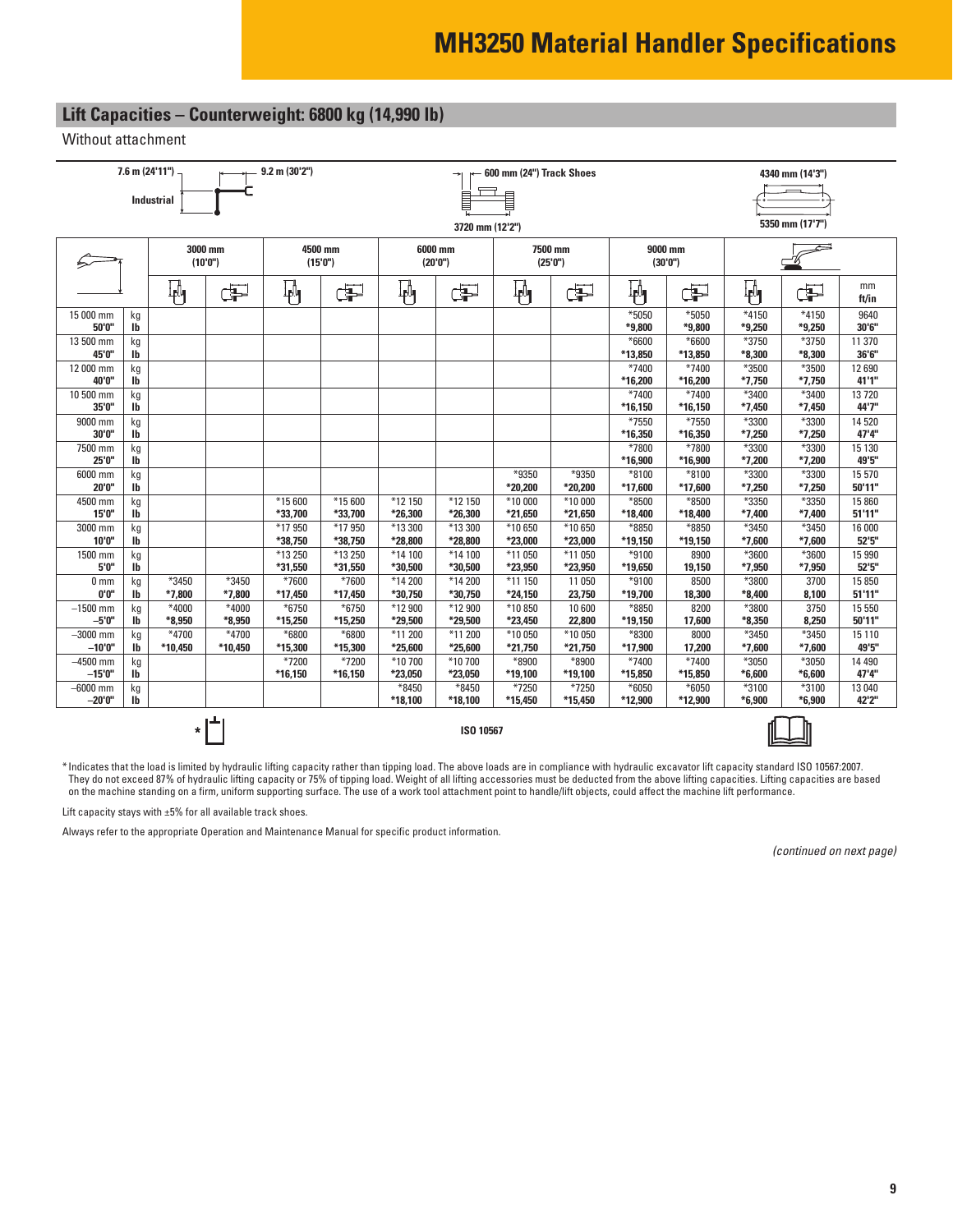# **Lift Capacities – Counterweight: 6800 kg (14,990 lb)**

Without attachment

|                     | $7.6$ m $(24'11'')$ |                   |                     | 9.2 m (30'2")       |                    | 600 mm (24") Track Shoes |                     |                         |                     |                  | 4340 mm (14'3")     |                   |                     |                  |  |
|---------------------|---------------------|-------------------|---------------------|---------------------|--------------------|--------------------------|---------------------|-------------------------|---------------------|------------------|---------------------|-------------------|---------------------|------------------|--|
|                     |                     | <b>Industrial</b> |                     |                     |                    | ▤                        |                     |                         |                     |                  |                     |                   |                     |                  |  |
|                     |                     |                   |                     |                     |                    |                          | 3720 mm (12'2")     |                         |                     |                  |                     | 5350 mm (17'7")   |                     |                  |  |
|                     |                     |                   |                     |                     |                    |                          |                     |                         |                     |                  |                     |                   |                     |                  |  |
|                     |                     |                   | 3000 mm<br>(10'0'') | 4500 mm<br>(15'0'') |                    |                          | 6000 mm<br>(20'0'') |                         | 7500 mm<br>(25'0'') |                  | 9000 mm<br>(30'0'') |                   |                     |                  |  |
|                     |                     | $\mathbf{F}_1$    | ¢P                  | $\mathbb{F}$        | Œ                  | 吶                        | æ                   | $\overline{\mathbf{F}}$ | ď                   | ₩                | ⋥                   | 吶                 | Œ                   | mm<br>ft/in      |  |
| 15 000 mm<br>50'0"  | kg<br>lb            |                   |                     |                     |                    |                          |                     |                         |                     | *5050<br>*9,800  | *5050<br>*9,800     | $*4150$<br>*9,250 | $*4150$<br>$*9,250$ | 9640<br>30'6"    |  |
| 13 500 mm           | kg                  |                   |                     |                     |                    |                          |                     |                         |                     | $*6600$          | *6600               | *3750             | *3750               | 11 370           |  |
| 45'0"               | Ib                  |                   |                     |                     |                    |                          |                     |                         |                     | *13,850          | *13,850             | $*8,300$          | $*8,300$            | 36'6"            |  |
| 12 000 mm           | kg                  |                   |                     |                     |                    |                          |                     |                         |                     | $*7400$          | $*7400$             | *3500             | *3500               | 12 690           |  |
| 40'0"               | lb                  |                   |                     |                     |                    |                          |                     |                         |                     | *16,200          | *16,200             | $*7,750$          | $*7,750$            | 41'1"            |  |
| 10 500 mm<br>35'0"  | kg<br>lb            |                   |                     |                     |                    |                          |                     |                         |                     | *7400<br>*16,150 | *7400<br>*16,150    | *3400<br>*7,450   | *3400<br>$*7,450$   | 13720<br>44'7"   |  |
| 9000 mm             | kg                  |                   |                     |                     |                    |                          |                     |                         |                     | *7550            | *7550               | *3300             | *3300               | 14 520           |  |
| 30'0"               | Ib                  |                   |                     |                     |                    |                          |                     |                         |                     | *16,350          | *16,350             | *7,250            | $*7,250$            | 47'4"            |  |
| 7500 mm             | kg                  |                   |                     |                     |                    |                          |                     |                         |                     | *7800            | *7800               | *3300             | *3300               | 15 130           |  |
| 25'0"               | Ib                  |                   |                     |                     |                    |                          |                     |                         |                     | *16.900          | *16,900             | $*7,200$          | $*7,200$            | 49'5"            |  |
| 6000 mm<br>20'0"    | kg                  |                   |                     |                     |                    |                          |                     | *9350<br>*20,200        | *9350<br>*20,200    | *8100<br>*17,600 | *8100<br>*17,600    | *3300<br>$*7,250$ | *3300<br>$*7,250$   | 15 570<br>50'11" |  |
| 4500 mm             | lb                  |                   |                     | *15 600             | *15 600            | *12 150                  | *12 150             | *10 000                 | $*10000$            | $*8500$          | *8500               | *3350             | *3350               | 15 860           |  |
| 15'0"               | kg<br>lb            |                   |                     | *33,700             | *33,700            | *26,300                  | *26,300             | *21,650                 | *21,650             | *18,400          | *18,400             | $*7,400$          | $*7,400$            | 51'11"           |  |
| 3000 mm             | kg                  |                   |                     | *17 950             | *17 950            | *13 300                  | *13 300             | *10 650                 | *10 650             | *8850            | *8850               | *3450             | *3450               | 16 000           |  |
| 10'0"               | lb                  |                   |                     | *38,750             | *38,750            | *28,800                  | *28,800             | *23,000                 | *23,000             | *19,150          | *19,150             | $*7,600$          | $*7,600$            | 52'5''           |  |
| 1500 mm             | kg                  |                   |                     | *13 250             | *13 250            | *14 100                  | *14 100             | *11 050                 | *11 050             | *9100            | 8900                | *3600             | *3600               | 15 990           |  |
| 5'0"                | lb                  |                   |                     | *31,550             | *31,550            | *30,500                  | *30,500             | *23,950                 | *23,950             | *19,650          | 19,150              | $*7,950$          | *7,950              | 52'5''           |  |
| 0 <sub>mm</sub>     | kg                  | $*3450$           | *3450               | *7600               | *7600              | *14 200                  | *14 200             | *11 150                 | 11 050              | $*9100$          | 8500                | *3800             | 3700                | 15 850           |  |
| 0'0''               | Ib                  | *7,800            | $*7.800$            | *17,450             | *17,450            | *30,750                  | *30,750             | *24,150                 | 23,750              | *19,700          | 18,300              | $*8,400$          | 8,100               | 51'11''          |  |
| $-1500$ mm<br>-5'0" | kg<br>lb            | *4000<br>$*8,950$ | *4000<br>*8.950     | *6750<br>*15,250    | $*6750$<br>*15,250 | *12 900<br>*29,500       | *12 900<br>*29,500  | *10 850<br>*23,450      | 10 600<br>22,800    | *8850<br>*19,150 | 8200<br>17,600      | *3800<br>$*8,350$ | 3750<br>8,250       | 15 550<br>50'11" |  |
| $-3000$ mm          | kg                  | $*4700$           | *4700               | *6800               | *6800              | *11 200                  | *11 200             | *10 050                 | *10 050             | *8300            | 8000                | *3450             | *3450               | 15 110           |  |
| $-10'0''$           | Ib                  | *10,450           | *10,450             | *15,300             | *15,300            | *25,600                  | *25,600             | *21,750                 | *21,750             | *17,900          | 17,200              | $*7,600$          | $*7,600$            | 49'5"            |  |
| $-4500$ mm          | kg                  |                   |                     | *7200               | *7200              | *10 700                  | *10 700             | *8900                   | *8900               | *7400            | *7400               | *3050             | *3050               | 14 4 9 0         |  |
| $-15'0''$           | lb                  |                   |                     | *16,150             | *16,150            | *23,050                  | *23,050             | *19,100                 | *19,100             | *15,850          | *15,850             | $*6,600$          | $*6,600$            | 47'4"            |  |
| $-6000$ mm          | kg                  |                   |                     |                     |                    | *8450                    | *8450               | *7250                   | *7250               | *6050            | *6050               | *3100             | $*3100$             | 13 040           |  |
| $-20'0''$           | Ib                  |                   |                     |                     |                    | *18,100                  | *18,100             | *15,450                 | *15,450             | *12,900          | *12,900             | $*6,900$          | $*6,900$            | 42'2"            |  |
|                     |                     | *                 |                     |                     |                    |                          | ISO 10567           |                         |                     |                  |                     |                   |                     |                  |  |

\* Indicates that the load is limited by hydraulic lifting capacity rather than tipping load. The above loads are in compliance with hydraulic excavator lift capacity standard ISO 10567:2007. They do not exceed 87% of hydraulic lifting capacity or 75% of tipping load. Weight of all lifting accessories must be deducted from the above lifting capacities. Lifting capacities are based on the machine standing on a firm, uniform supporting surface. The use of a work tool attachment point to handle/lift objects, could affect the machine lift performance.

Lift capacity stays with  $\pm 5\%$  for all available track shoes.

Always refer to the appropriate Operation and Maintenance Manual for specific product information.

*(continued on next page)*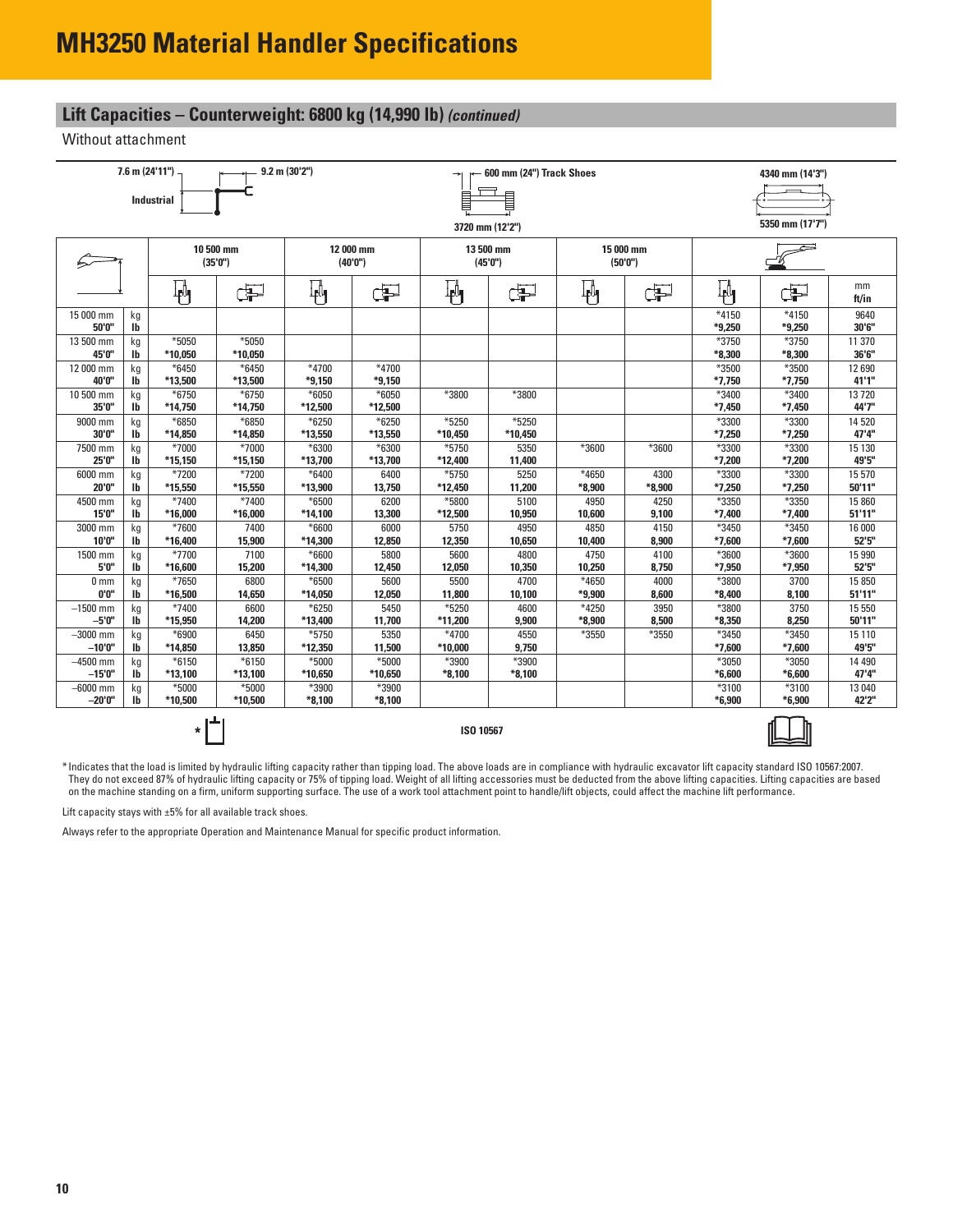# **Lift Capacities – Counterweight: 6800 kg (14,990 lb)** *(continued)*

Without attachment

|                        |                    | $7.6$ m (24'11")   |                    | $9.2$ m $(30'2'')$<br>600 mm (24") Track Shoes |                    |                  |                 | 4340 mm (14'3")   |                  |                   |                   |                  |
|------------------------|--------------------|--------------------|--------------------|------------------------------------------------|--------------------|------------------|-----------------|-------------------|------------------|-------------------|-------------------|------------------|
|                        |                    | <b>Industrial</b>  |                    | Ē                                              |                    |                  |                 |                   |                  |                   |                   |                  |
|                        |                    |                    |                    |                                                |                    |                  |                 |                   |                  |                   |                   |                  |
|                        |                    |                    |                    |                                                |                    |                  | 3720 mm (12'2") |                   |                  |                   | 5350 mm (17'7")   |                  |
|                        |                    |                    | 10 500 mm          |                                                | 12 000 mm          |                  | 13 500 mm       |                   | 15 000 mm        |                   |                   |                  |
|                        |                    |                    | (35'0'')           |                                                | (40'0'')           |                  | (45'0")         |                   | (50'0'')         |                   |                   |                  |
|                        |                    | 軜                  | Þ                  | ₩                                              | F                  | Ψ                | ď               | 軜                 | æ                | 刷                 | Œ                 | mm<br>ft/in      |
| 15 000 mm              | kg                 |                    |                    |                                                |                    |                  |                 |                   |                  | $*4150$           | $*4150$           | 9640             |
| 50'0"<br>13 500 mm     | lb                 | $*5050$            | *5050              |                                                |                    |                  |                 |                   |                  | $*9,250$<br>*3750 | *9,250<br>*3750   | 30'6"<br>11 370  |
| 45'0"                  | kg<br>Ib           | *10,050            | *10,050            |                                                |                    |                  |                 |                   |                  | *8,300            | *8,300            | 36'6"            |
| 12 000 mm              | kg                 | $*6450$            | $*6450$            | *4700                                          | $*4700$            |                  |                 |                   |                  | *3500             | *3500             | 12 690           |
| 40'0"                  | Ib                 | *13,500            | *13,500            | $*9,150$                                       | $*9,150$           |                  |                 |                   |                  | $*7,750$          | $*7,750$          | 41'1"            |
| 10 500 mm<br>35'0"     | kg<br>$\mathbf{I}$ | $*6750$<br>*14,750 | $*6750$<br>*14,750 | $*6050$<br>*12,500                             | $*6050$<br>*12,500 | *3800            | *3800           |                   |                  | *3400<br>$*7,450$ | *3400<br>$*7,450$ | 13720<br>44'7"   |
| 9000 mm                | kg                 | *6850              | *6850              | $*6250$                                        | $*6250$            | *5250            | *5250           |                   |                  | *3300             | *3300             | 14 520           |
| 30'0"                  | <b>Ib</b>          | *14,850            | *14,850            | *13,550                                        | *13,550            | *10,450          | $*10,450$       |                   |                  | $*7,250$          | $*7,250$          | 47'4"            |
| 7500 mm                | kg                 | *7000              | *7000              | *6300                                          | *6300              | *5750            | 5350            | *3600             | *3600            | *3300             | *3300             | 15 130           |
| 25'0"<br>6000 mm       | <b>Ib</b>          | *15,150<br>*7200   | *15,150<br>*7200   | *13,700<br>*6400                               | *13,700            | *12,400<br>*5750 | 11,400          | *4650             |                  | *7,200<br>$*3300$ | *7,200<br>*3300   | 49'5"            |
| 20'0"                  | kg<br>lb           | *15,550            | *15,550            | *13,900                                        | 6400<br>13,750     | *12,450          | 5250<br>11,200  | $*8,900$          | 4300<br>$*8,900$ | $*7,250$          | $*7,250$          | 15 570<br>50'11" |
| 4500 mm                | kq                 | *7400              | *7400              | *6500                                          | 6200               | *5800            | 5100            | 4950              | 4250             | *3350             | *3350             | 15 860           |
| 15'0"                  | <b>lb</b>          | *16,000            | *16,000            | *14,100                                        | 13,300             | *12,500          | 10,950          | 10,600            | 9,100            | $*7,400$          | *7,400            | 51'11"           |
| 3000 mm                | kq                 | *7600              | 7400               | $*6600$                                        | 6000               | 5750             | 4950            | 4850              | 4150             | *3450             | *3450             | 16 000           |
| 10'0"                  | lb                 | *16,400            | 15,900             | *14,300                                        | 12,850             | 12,350           | 10,650          | 10,400            | 8,900            | $*7,600$          | $*7,600$          | 52'5"            |
| 1500 mm                | kg                 | *7700              | 7100               | *6600                                          | 5800               | 5600             | 4800            | 4750              | 4100             | *3600             | $*3600$           | 15 990           |
| 5'0"                   | lb                 | *16,600            | 15,200             | *14,300                                        | 12,450             | 12,050           | 10,350          | 10,250            | 8,750            | *7,950            | *7,950            | 52'5''           |
| 0 <sub>mm</sub>        | kg                 | *7650              | 6800               | *6500                                          | 5600               | 5500             | 4700            | *4650             | 4000             | *3800             | 3700              | 15 850           |
| 0'0"                   | Ib                 | *16,500            | 14,650             | *14,050                                        | 12,050             | 11,800           | 10,100          | *9,900            | 8,600            | $*8,400$          | 8,100             | 51'11"           |
| $-1500$ mm<br>$-5'0''$ | kg<br><b>Ib</b>    | *7400<br>*15,950   | 6600<br>14,200     | $*6250$<br>*13,400                             | 5450<br>11,700     | *5250<br>*11,200 | 4600<br>9,900   | *4250<br>$*8,900$ | 3950<br>8,500    | *3800<br>$*8,350$ | 3750<br>8,250     | 15 550<br>50'11" |
| $-3000$ mm             |                    | $*6900$            | 6450               | *5750                                          | 5350               | *4700            | 4550            | *3550             | *3550            | *3450             | *3450             | 15 110           |
| $-10'0''$              | kg<br><b>Ib</b>    | *14,850            | 13,850             | *12,350                                        | 11,500             | $*10,000$        | 9,750           |                   |                  | $*7,600$          | $*7,600$          | 49'5"            |
| $-4500$ mm             | kg                 | $*6150$            | $*6150$            | *5000                                          | *5000              | *3900            | *3900           |                   |                  | *3050             | *3050             | 14 4 9 0         |
| $-15'0''$              | <b>Ib</b>          | *13,100            | *13,100            | *10,650                                        | *10,650            | $*8,100$         | $*8,100$        |                   |                  | $*6,600$          | $*6,600$          | 47'4"            |
| $-6000$ mm             | kg                 | *5000              | *5000              | *3900                                          | *3900              |                  |                 |                   |                  | *3100             | *3100             | 13 040           |
| $-20'0''$              | <b>Ib</b>          | *10,500            | *10,500            | $*8,100$                                       | $*8,100$           |                  |                 |                   |                  | $*6,900$          | $*6,900$          | 42'2"            |
|                        |                    | *                  |                    |                                                |                    | ISO 10567        |                 |                   |                  |                   |                   |                  |

\* Indicates that the load is limited by hydraulic lifting capacity rather than tipping load. The above loads are in compliance with hydraulic excavator lift capacity standard ISO 10567:2007. They do not exceed 87% of hydraulic lifting capacity or 75% of tipping load. Weight of all lifting accessories must be deducted from the above lifting capacities. Lifting capacities are based on the machine standing on a firm, uniform supporting surface. The use of a work tool attachment point to handle/lift objects, could affect the machine lift performance.

Lift capacity stays with  $\pm 5\%$  for all available track shoes.

Always refer to the appropriate Operation and Maintenance Manual for specific product information.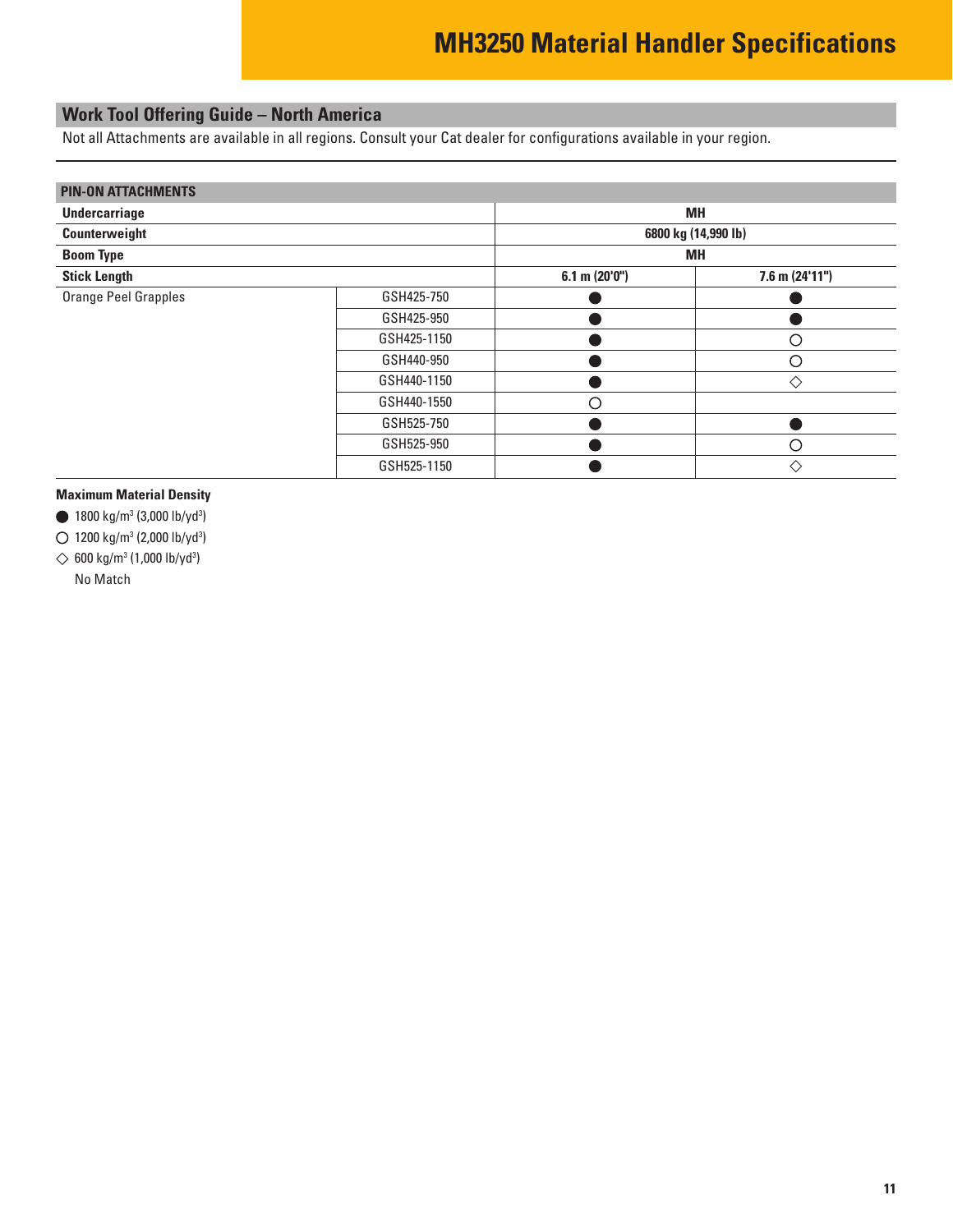### <span id="page-10-0"></span>**Work Tool Offering Guide – North America**

Not all Attachments are available in all regions. Consult your Cat dealer for configurations available in your region.

| <b>PIN-ON ATTACHMENTS</b>   |             |                |                     |
|-----------------------------|-------------|----------------|---------------------|
| <b>Undercarriage</b>        |             |                | <b>MH</b>           |
| Counterweight               |             |                | 6800 kg (14,990 lb) |
| <b>Boom Type</b>            |             |                | MH                  |
| <b>Stick Length</b>         |             | 6.1 m (20'0'') | $7.6$ m $(24'11'')$ |
| <b>Orange Peel Grapples</b> | GSH425-750  |                |                     |
|                             | GSH425-950  |                |                     |
|                             | GSH425-1150 |                | ∩                   |
|                             | GSH440-950  |                | ∩                   |
|                             | GSH440-1150 |                | ♦                   |
|                             | GSH440-1550 | ∩              |                     |
|                             | GSH525-750  |                |                     |
|                             | GSH525-950  |                | ∩                   |
|                             | GSH525-1150 |                | ♦                   |

#### **Maximum Material Density**

1800 kg/m3 (3,000 lb/yd3 )

1200 kg/m3 (2,000 lb/yd3 )

600 kg/m3 (1,000 lb/yd3 )

No Match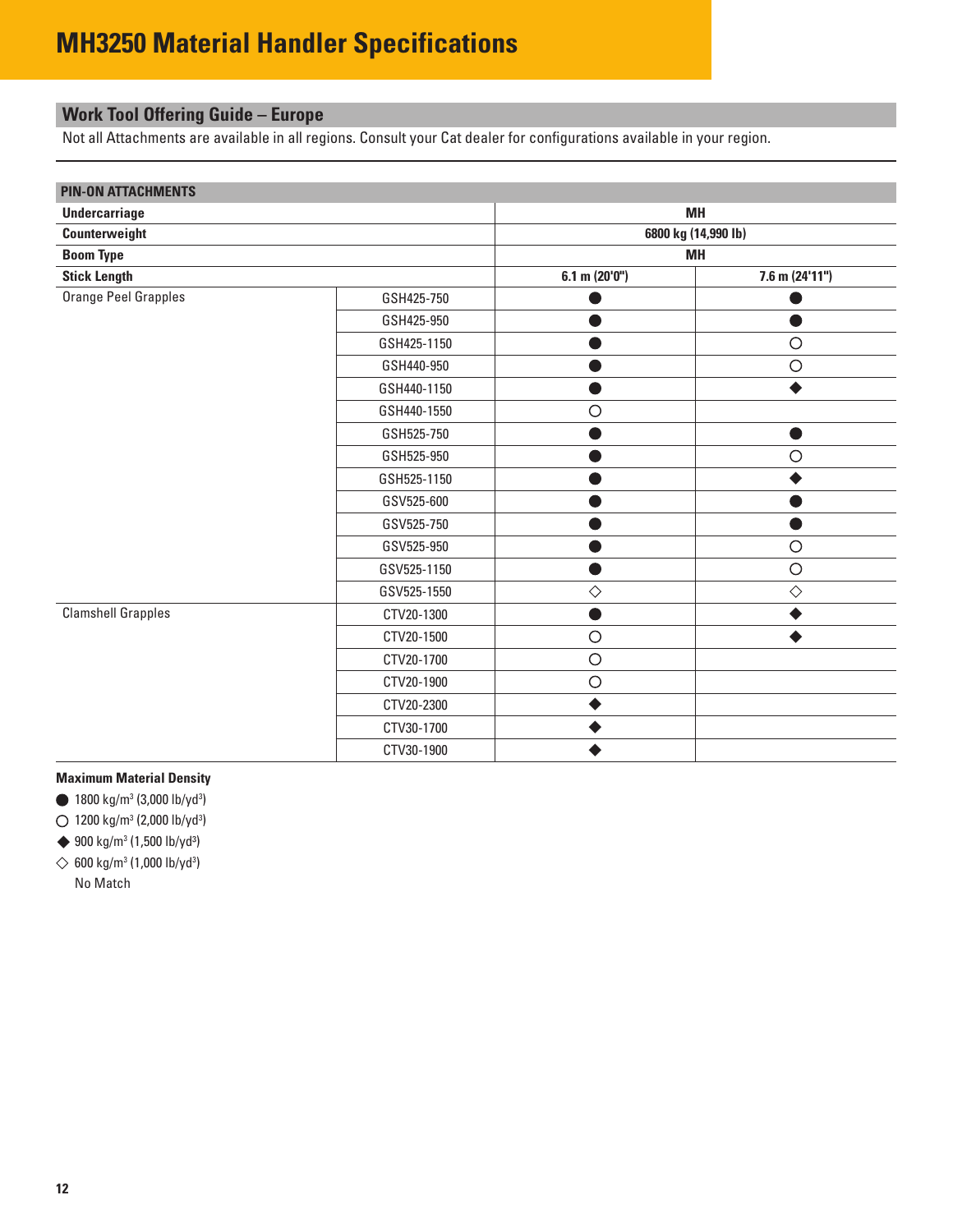# <span id="page-11-0"></span>**Work Tool Offering Guide – Europe**

Not all Attachments are available in all regions. Consult your Cat dealer for configurations available in your region.

| <b>PIN-ON ATTACHMENTS</b> |             |                     |                  |  |  |  |
|---------------------------|-------------|---------------------|------------------|--|--|--|
| Undercarriage             |             | <b>MH</b>           |                  |  |  |  |
| Counterweight             |             | 6800 kg (14,990 lb) |                  |  |  |  |
| <b>Boom Type</b>          |             |                     | <b>MH</b>        |  |  |  |
| <b>Stick Length</b>       |             | $6.1$ m (20'0")     | $7.6$ m (24'11") |  |  |  |
| Orange Peel Grapples      | GSH425-750  |                     |                  |  |  |  |
|                           | GSH425-950  |                     |                  |  |  |  |
|                           | GSH425-1150 |                     | $\circ$          |  |  |  |
|                           | GSH440-950  |                     | $\bigcirc$       |  |  |  |
|                           | GSH440-1150 |                     |                  |  |  |  |
|                           | GSH440-1550 | $\circ$             |                  |  |  |  |
|                           | GSH525-750  |                     |                  |  |  |  |
|                           | GSH525-950  |                     | $\circ$          |  |  |  |
|                           | GSH525-1150 |                     |                  |  |  |  |
|                           | GSV525-600  |                     |                  |  |  |  |
|                           | GSV525-750  |                     |                  |  |  |  |
|                           | GSV525-950  |                     | $\bigcirc$       |  |  |  |
|                           | GSV525-1150 |                     | $\circ$          |  |  |  |
|                           | GSV525-1550 | $\Diamond$          | $\Diamond$       |  |  |  |
| <b>Clamshell Grapples</b> | CTV20-1300  |                     |                  |  |  |  |
|                           | CTV20-1500  | $\circ$             |                  |  |  |  |
|                           | CTV20-1700  | $\circ$             |                  |  |  |  |
|                           | CTV20-1900  | $\circ$             |                  |  |  |  |
|                           | CTV20-2300  |                     |                  |  |  |  |
|                           | CTV30-1700  |                     |                  |  |  |  |
|                           | CTV30-1900  |                     |                  |  |  |  |

#### **Maximum Material Density**

1800 kg/m3 (3,000 lb/yd3 )

1200 kg/m3 (2,000 lb/yd3 )

→ 900 kg/m<sup>3</sup> (1,500 lb/yd<sup>3</sup>)

600 kg/m3 (1,000 lb/yd3 ) No Match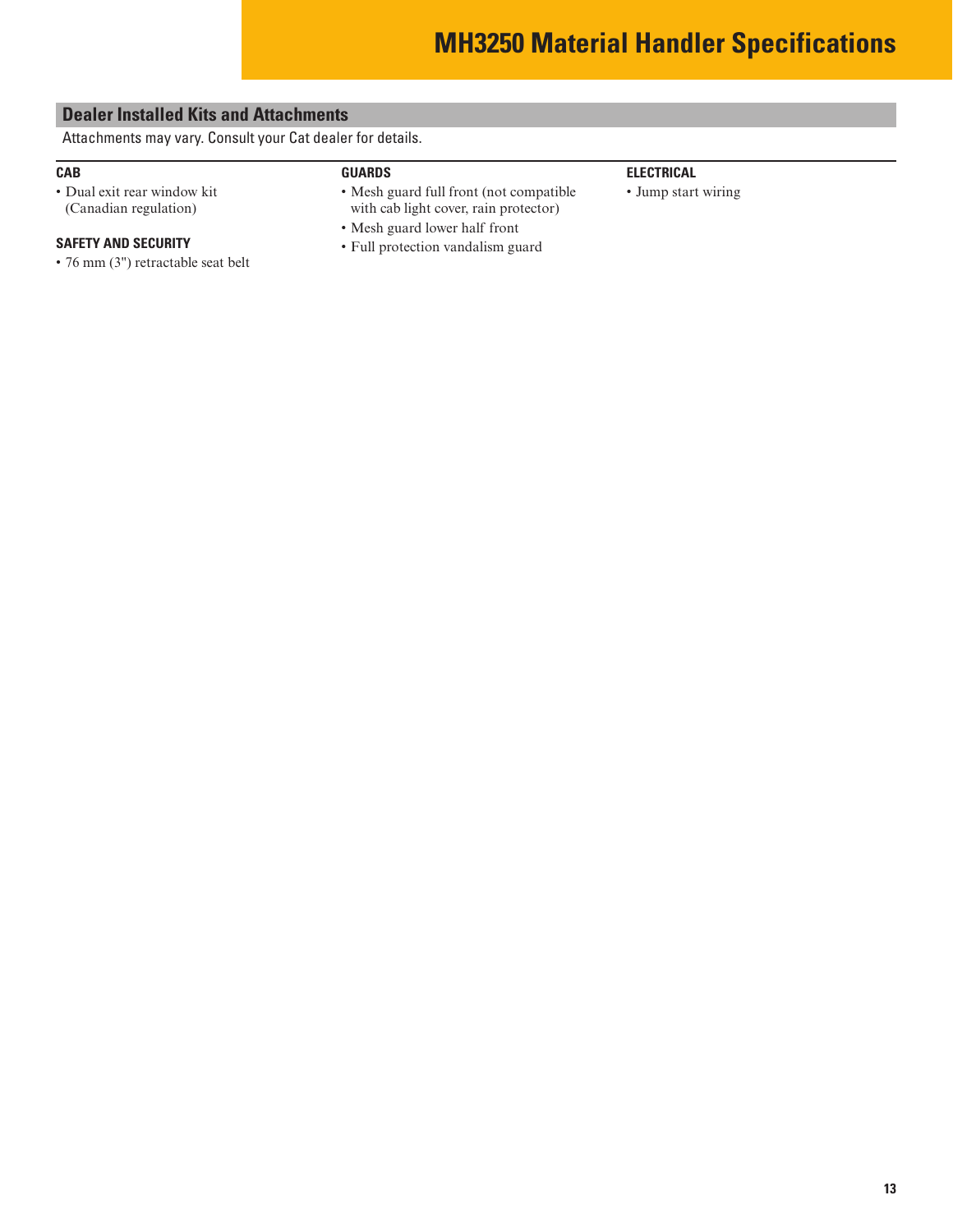### <span id="page-12-0"></span>**Dealer Installed Kits and Attachments**

Attachments may vary. Consult your Cat dealer for details.

### **CAB**

• Dual exit rear window kit (Canadian regulation)

#### **SAFETY AND SECURITY**

- 76 mm (3") retractable seat belt
- **GUARDS**
- Mesh guard full front (not compatible with cab light cover, rain protector)
- Mesh guard lower half front
- Full protection vandalism guard

### **ELECTRICAL**

• Jump start wiring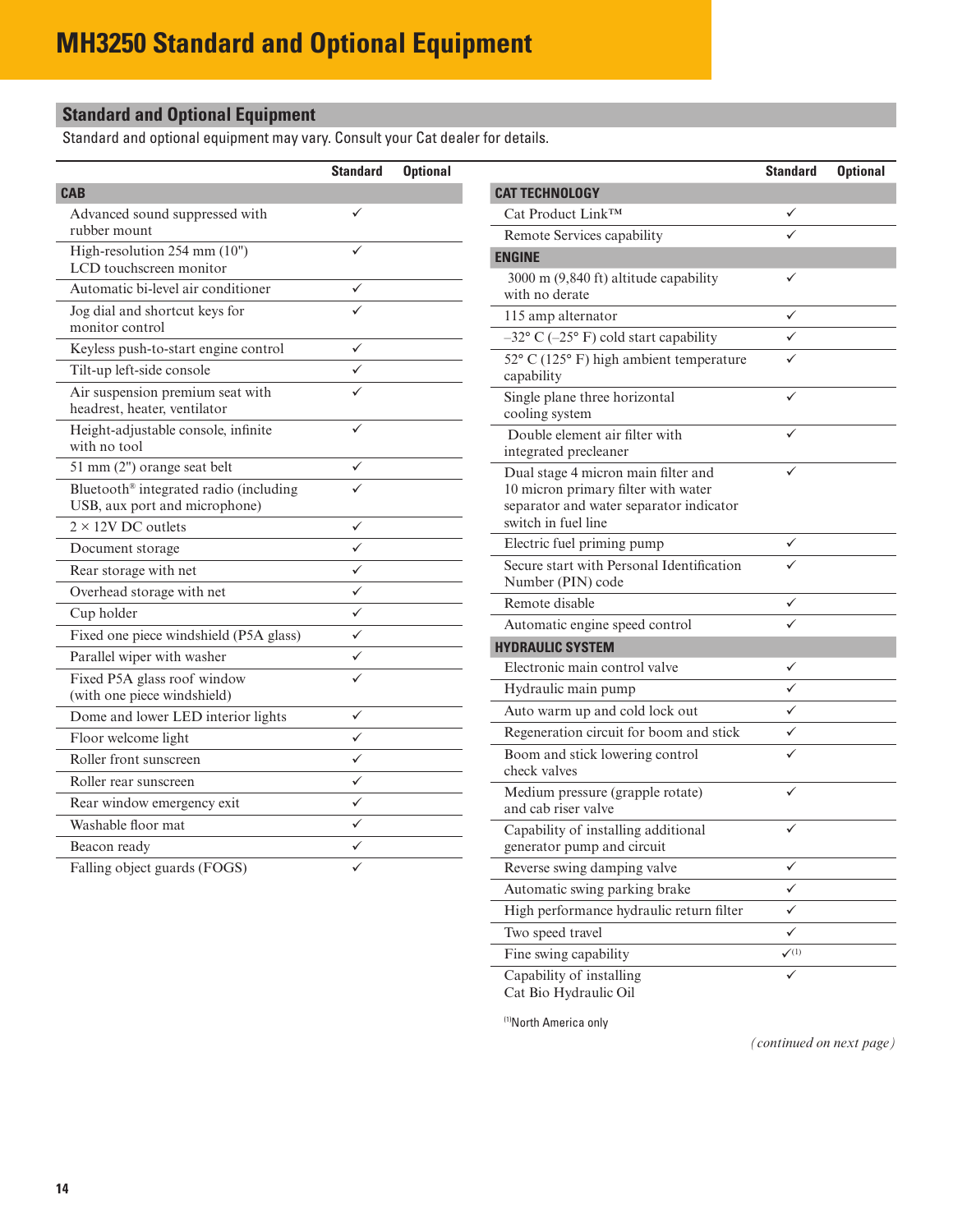# <span id="page-13-0"></span>**Standard and Optional Equipment**

Standard and optional equipment may vary. Consult your Cat dealer for details.

|                                                                         | <b>Standard</b> | <b>Optional</b> |
|-------------------------------------------------------------------------|-----------------|-----------------|
| <b>CAB</b>                                                              |                 |                 |
| Advanced sound suppressed with<br>rubber mount                          | ✓               |                 |
| High-resolution 254 mm (10")<br>LCD touchscreen monitor                 |                 |                 |
| Automatic bi-level air conditioner                                      |                 |                 |
| Jog dial and shortcut keys for<br>monitor control                       |                 |                 |
| Keyless push-to-start engine control                                    |                 |                 |
| Tilt-up left-side console                                               |                 |                 |
| Air suspension premium seat with<br>headrest, heater, ventilator        |                 |                 |
| Height-adjustable console, infinite<br>with no tool                     |                 |                 |
| 51 mm (2") orange seat belt                                             |                 |                 |
| Bluetooth® integrated radio (including<br>USB, aux port and microphone) |                 |                 |
| $2 \times 12V$ DC outlets                                               | ✓               |                 |
| Document storage                                                        |                 |                 |
| Rear storage with net                                                   | ✓               |                 |
| Overhead storage with net                                               |                 |                 |
| Cup holder                                                              |                 |                 |
| Fixed one piece windshield (P5A glass)                                  | ✓               |                 |
| Parallel wiper with washer                                              |                 |                 |
| Fixed P5A glass roof window<br>(with one piece windshield)              |                 |                 |
| Dome and lower LED interior lights                                      | ✓               |                 |
| Floor welcome light                                                     |                 |                 |
| Roller front sunscreen                                                  | ✓               |                 |
| Roller rear sunscreen                                                   |                 |                 |
| Rear window emergency exit                                              |                 |                 |
| Washable floor mat                                                      |                 |                 |
| Beacon ready                                                            |                 |                 |
| Falling object guards (FOGS)                                            |                 |                 |

| <b>CAT TECHNOLOGY</b><br>Cat Product Link™<br>Remote Services capability<br><b>ENGINE</b><br>3000 m (9,840 ft) altitude capability<br>✓<br>with no derate<br>115 amp alternator<br>✓<br>$-32^{\circ}$ C ( $-25^{\circ}$ F) cold start capability<br>52° C (125° F) high ambient temperature<br>capability<br>Single plane three horizontal<br>cooling system<br>Double element air filter with<br>integrated precleaner<br>Dual stage 4 micron main filter and<br>10 micron primary filter with water<br>separator and water separator indicator<br>switch in fuel line<br>Electric fuel priming pump<br>Secure start with Personal Identification<br>Number (PIN) code<br>Remote disable<br>Automatic engine speed control<br><b>HYDRAULIC SYSTEM</b><br>Electronic main control valve<br>✓<br>✓<br>Hydraulic main pump<br>Auto warm up and cold lock out<br>Regeneration circuit for boom and stick<br>Boom and stick lowering control<br>✓<br>check valves<br>Medium pressure (grapple rotate)<br>✓<br>and cab riser valve<br>Capability of installing additional<br>generator pump and circuit<br>Reverse swing damping valve<br>✓<br>Automatic swing parking brake<br>✓<br>High performance hydraulic return filter<br>✓<br>Two speed travel<br>✓ |                       | <b>Standard</b>                 | <b>Optional</b> |
|--------------------------------------------------------------------------------------------------------------------------------------------------------------------------------------------------------------------------------------------------------------------------------------------------------------------------------------------------------------------------------------------------------------------------------------------------------------------------------------------------------------------------------------------------------------------------------------------------------------------------------------------------------------------------------------------------------------------------------------------------------------------------------------------------------------------------------------------------------------------------------------------------------------------------------------------------------------------------------------------------------------------------------------------------------------------------------------------------------------------------------------------------------------------------------------------------------------------------------------------------------|-----------------------|---------------------------------|-----------------|
|                                                                                                                                                                                                                                                                                                                                                                                                                                                                                                                                                                                                                                                                                                                                                                                                                                                                                                                                                                                                                                                                                                                                                                                                                                                        |                       |                                 |                 |
|                                                                                                                                                                                                                                                                                                                                                                                                                                                                                                                                                                                                                                                                                                                                                                                                                                                                                                                                                                                                                                                                                                                                                                                                                                                        |                       |                                 |                 |
|                                                                                                                                                                                                                                                                                                                                                                                                                                                                                                                                                                                                                                                                                                                                                                                                                                                                                                                                                                                                                                                                                                                                                                                                                                                        |                       |                                 |                 |
|                                                                                                                                                                                                                                                                                                                                                                                                                                                                                                                                                                                                                                                                                                                                                                                                                                                                                                                                                                                                                                                                                                                                                                                                                                                        |                       |                                 |                 |
|                                                                                                                                                                                                                                                                                                                                                                                                                                                                                                                                                                                                                                                                                                                                                                                                                                                                                                                                                                                                                                                                                                                                                                                                                                                        |                       |                                 |                 |
|                                                                                                                                                                                                                                                                                                                                                                                                                                                                                                                                                                                                                                                                                                                                                                                                                                                                                                                                                                                                                                                                                                                                                                                                                                                        |                       |                                 |                 |
|                                                                                                                                                                                                                                                                                                                                                                                                                                                                                                                                                                                                                                                                                                                                                                                                                                                                                                                                                                                                                                                                                                                                                                                                                                                        |                       |                                 |                 |
|                                                                                                                                                                                                                                                                                                                                                                                                                                                                                                                                                                                                                                                                                                                                                                                                                                                                                                                                                                                                                                                                                                                                                                                                                                                        |                       |                                 |                 |
|                                                                                                                                                                                                                                                                                                                                                                                                                                                                                                                                                                                                                                                                                                                                                                                                                                                                                                                                                                                                                                                                                                                                                                                                                                                        |                       |                                 |                 |
|                                                                                                                                                                                                                                                                                                                                                                                                                                                                                                                                                                                                                                                                                                                                                                                                                                                                                                                                                                                                                                                                                                                                                                                                                                                        |                       |                                 |                 |
|                                                                                                                                                                                                                                                                                                                                                                                                                                                                                                                                                                                                                                                                                                                                                                                                                                                                                                                                                                                                                                                                                                                                                                                                                                                        |                       |                                 |                 |
|                                                                                                                                                                                                                                                                                                                                                                                                                                                                                                                                                                                                                                                                                                                                                                                                                                                                                                                                                                                                                                                                                                                                                                                                                                                        |                       |                                 |                 |
|                                                                                                                                                                                                                                                                                                                                                                                                                                                                                                                                                                                                                                                                                                                                                                                                                                                                                                                                                                                                                                                                                                                                                                                                                                                        |                       |                                 |                 |
|                                                                                                                                                                                                                                                                                                                                                                                                                                                                                                                                                                                                                                                                                                                                                                                                                                                                                                                                                                                                                                                                                                                                                                                                                                                        |                       |                                 |                 |
|                                                                                                                                                                                                                                                                                                                                                                                                                                                                                                                                                                                                                                                                                                                                                                                                                                                                                                                                                                                                                                                                                                                                                                                                                                                        |                       |                                 |                 |
|                                                                                                                                                                                                                                                                                                                                                                                                                                                                                                                                                                                                                                                                                                                                                                                                                                                                                                                                                                                                                                                                                                                                                                                                                                                        |                       |                                 |                 |
|                                                                                                                                                                                                                                                                                                                                                                                                                                                                                                                                                                                                                                                                                                                                                                                                                                                                                                                                                                                                                                                                                                                                                                                                                                                        |                       |                                 |                 |
|                                                                                                                                                                                                                                                                                                                                                                                                                                                                                                                                                                                                                                                                                                                                                                                                                                                                                                                                                                                                                                                                                                                                                                                                                                                        |                       |                                 |                 |
|                                                                                                                                                                                                                                                                                                                                                                                                                                                                                                                                                                                                                                                                                                                                                                                                                                                                                                                                                                                                                                                                                                                                                                                                                                                        |                       |                                 |                 |
|                                                                                                                                                                                                                                                                                                                                                                                                                                                                                                                                                                                                                                                                                                                                                                                                                                                                                                                                                                                                                                                                                                                                                                                                                                                        |                       |                                 |                 |
|                                                                                                                                                                                                                                                                                                                                                                                                                                                                                                                                                                                                                                                                                                                                                                                                                                                                                                                                                                                                                                                                                                                                                                                                                                                        |                       |                                 |                 |
|                                                                                                                                                                                                                                                                                                                                                                                                                                                                                                                                                                                                                                                                                                                                                                                                                                                                                                                                                                                                                                                                                                                                                                                                                                                        |                       |                                 |                 |
|                                                                                                                                                                                                                                                                                                                                                                                                                                                                                                                                                                                                                                                                                                                                                                                                                                                                                                                                                                                                                                                                                                                                                                                                                                                        |                       |                                 |                 |
|                                                                                                                                                                                                                                                                                                                                                                                                                                                                                                                                                                                                                                                                                                                                                                                                                                                                                                                                                                                                                                                                                                                                                                                                                                                        |                       |                                 |                 |
|                                                                                                                                                                                                                                                                                                                                                                                                                                                                                                                                                                                                                                                                                                                                                                                                                                                                                                                                                                                                                                                                                                                                                                                                                                                        |                       |                                 |                 |
|                                                                                                                                                                                                                                                                                                                                                                                                                                                                                                                                                                                                                                                                                                                                                                                                                                                                                                                                                                                                                                                                                                                                                                                                                                                        |                       |                                 |                 |
|                                                                                                                                                                                                                                                                                                                                                                                                                                                                                                                                                                                                                                                                                                                                                                                                                                                                                                                                                                                                                                                                                                                                                                                                                                                        |                       |                                 |                 |
|                                                                                                                                                                                                                                                                                                                                                                                                                                                                                                                                                                                                                                                                                                                                                                                                                                                                                                                                                                                                                                                                                                                                                                                                                                                        |                       |                                 |                 |
|                                                                                                                                                                                                                                                                                                                                                                                                                                                                                                                                                                                                                                                                                                                                                                                                                                                                                                                                                                                                                                                                                                                                                                                                                                                        |                       |                                 |                 |
|                                                                                                                                                                                                                                                                                                                                                                                                                                                                                                                                                                                                                                                                                                                                                                                                                                                                                                                                                                                                                                                                                                                                                                                                                                                        |                       |                                 |                 |
|                                                                                                                                                                                                                                                                                                                                                                                                                                                                                                                                                                                                                                                                                                                                                                                                                                                                                                                                                                                                                                                                                                                                                                                                                                                        |                       |                                 |                 |
|                                                                                                                                                                                                                                                                                                                                                                                                                                                                                                                                                                                                                                                                                                                                                                                                                                                                                                                                                                                                                                                                                                                                                                                                                                                        |                       |                                 |                 |
|                                                                                                                                                                                                                                                                                                                                                                                                                                                                                                                                                                                                                                                                                                                                                                                                                                                                                                                                                                                                                                                                                                                                                                                                                                                        |                       |                                 |                 |
|                                                                                                                                                                                                                                                                                                                                                                                                                                                                                                                                                                                                                                                                                                                                                                                                                                                                                                                                                                                                                                                                                                                                                                                                                                                        |                       |                                 |                 |
|                                                                                                                                                                                                                                                                                                                                                                                                                                                                                                                                                                                                                                                                                                                                                                                                                                                                                                                                                                                                                                                                                                                                                                                                                                                        | Fine swing capability | $\boldsymbol{\checkmark}^{(1)}$ |                 |
| Capability of installing<br>✓                                                                                                                                                                                                                                                                                                                                                                                                                                                                                                                                                                                                                                                                                                                                                                                                                                                                                                                                                                                                                                                                                                                                                                                                                          |                       |                                 |                 |

Cat Bio Hydraulic Oil

(1) North America only

*(continued on next page)*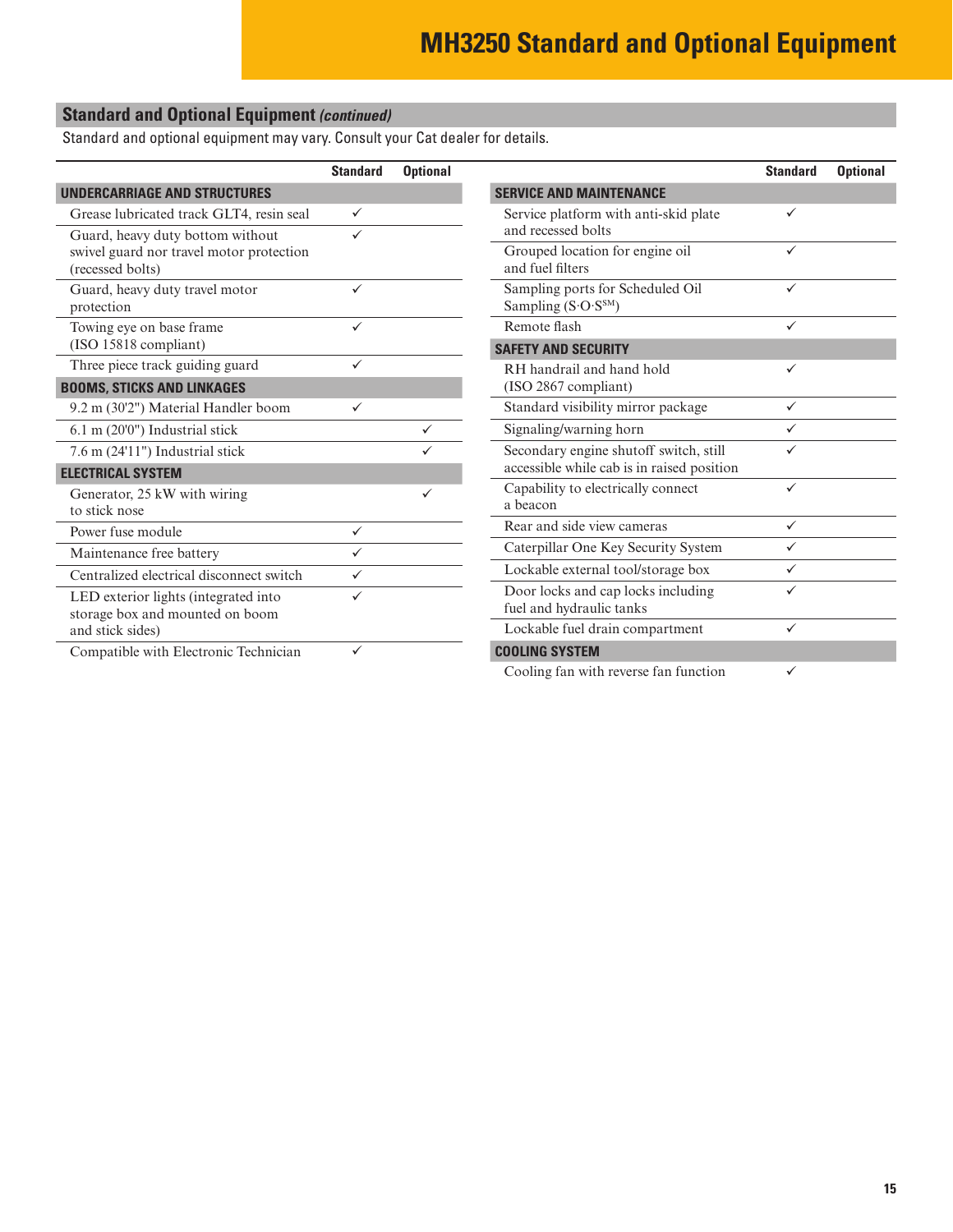# **Standard and Optional Equipment** *(continued)*

Standard and optional equipment may vary. Consult your Cat dealer for details.

|                                                                                                  | <b>Standard</b> | <b>Optional</b> |
|--------------------------------------------------------------------------------------------------|-----------------|-----------------|
| <b>UNDERCARRIAGE AND STRUCTURES</b>                                                              |                 |                 |
| Grease lubricated track GLT4, resin seal                                                         | ✓               |                 |
| Guard, heavy duty bottom without<br>swivel guard nor travel motor protection<br>(recessed bolts) |                 |                 |
| Guard, heavy duty travel motor<br>protection                                                     | $\checkmark$    |                 |
| Towing eye on base frame.<br>(ISO 15818 compliant)                                               | $\checkmark$    |                 |
| Three piece track guiding guard                                                                  |                 |                 |
| <b>BOOMS, STICKS AND LINKAGES</b>                                                                |                 |                 |
| 9.2 m (30'2") Material Handler boom                                                              | ✓               |                 |
| 6.1 m (20'0") Industrial stick                                                                   |                 |                 |
| 7.6 m (24'11") Industrial stick                                                                  |                 |                 |
| <b>ELECTRICAL SYSTEM</b>                                                                         |                 |                 |
| Generator, 25 kW with wiring<br>to stick nose                                                    |                 | ✓               |
| Power fuse module                                                                                | ✓               |                 |
| Maintenance free battery                                                                         | ✓               |                 |
| Centralized electrical disconnect switch                                                         |                 |                 |
| LED exterior lights (integrated into<br>storage box and mounted on boom<br>and stick sides)      |                 |                 |
| Compatible with Electronic Technician                                                            | ✓               |                 |

|                                                                                      | <b>Standard</b> | <b>Optional</b> |
|--------------------------------------------------------------------------------------|-----------------|-----------------|
| <b>SERVICE AND MAINTENANCE</b>                                                       |                 |                 |
| Service platform with anti-skid plate<br>and recessed bolts                          | $\checkmark$    |                 |
| Grouped location for engine oil<br>and fuel filters                                  | ✓               |                 |
| Sampling ports for Scheduled Oil<br>Sampling $(S \cdot O \cdot S^{SM})$              | ✓               |                 |
| Remote flash                                                                         | ✓               |                 |
| <b>SAFETY AND SECURITY</b>                                                           |                 |                 |
| RH handrail and hand hold<br>$(ISO 2867$ compliant)                                  | ✓               |                 |
| Standard visibility mirror package                                                   | ✓               |                 |
| Signaling/warning horn                                                               |                 |                 |
| Secondary engine shutoff switch, still<br>accessible while cab is in raised position |                 |                 |
| Capability to electrically connect<br>a beacon                                       | ✓               |                 |
| Rear and side view cameras                                                           | ✓               |                 |
| Caterpillar One Key Security System                                                  | ✓               |                 |
| Lockable external tool/storage box                                                   | ✓               |                 |
| Door locks and cap locks including<br>fuel and hydraulic tanks                       | ✓               |                 |
| Lockable fuel drain compartment                                                      | ✓               |                 |
| <b>COOLING SYSTEM</b>                                                                |                 |                 |
| Cooling fan with reverse fan function                                                | ✓               |                 |